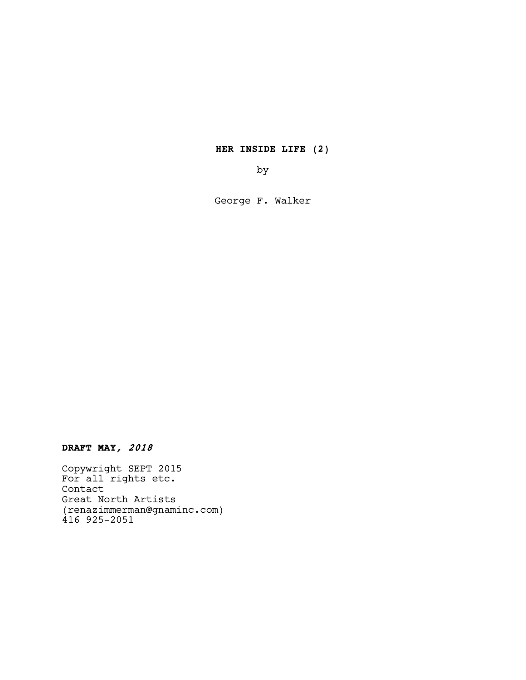HER INSIDE LIFE (2)

by

George F. Walker

DRAFT MAY, <sup>2018</sup>

Copywright SEPT 2015 For all rights etc. Contact Great North Artists (renazimmerman@gnaminc.com) 416 925-2051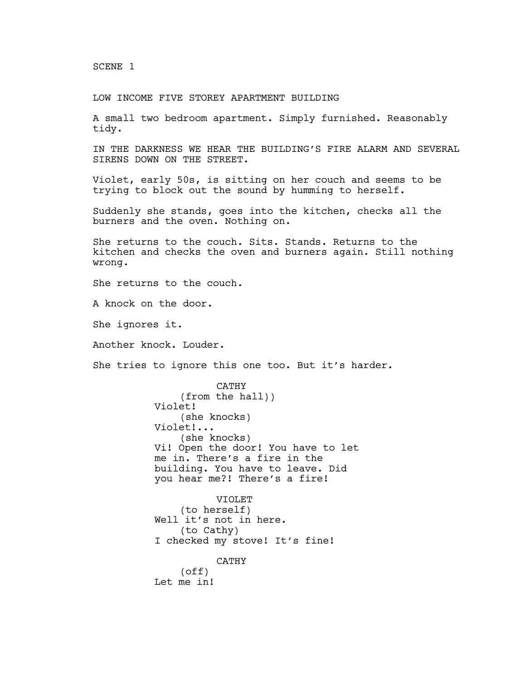SCENE 1

LOW INCOME FIVE STOREY APARTMENT BUILDING

A small two bedroom apartment. Simply furnished. Reasonably tidy.

IN THE DARKNESS WE HEAR THE BUILDING'S FIRE ALARM AND SEVERAL SIRENS DOWN ON THE STREET.

Violet, early 50s, is sitting on her couch and seems to be trying to block out the sound by humming to herself.

Suddenly she stands, goes into the kitchen, checks all the burners and the oven. Nothing on.

She returns to the couch. Sits. Stands. Returns to the kitchen and checks the oven and burners again. Still nothing wrong.

She returns to the couch.

A knock on the door.

She ignores it.

Another knock. Louder.

She tries to ignore this one too. But it's harder.

CATHY (from the hall)) Violet! (she knocks) Violet!... (she knocks) Vi! Open the door! You have to let me in. There's a fire in the building. You have to leave. Did you hear me?! There's a fire!

VIOLET (to herself) Well it's not in here. (to Cathy) I checked my stove! It's fine! CATHY (off) Let me in!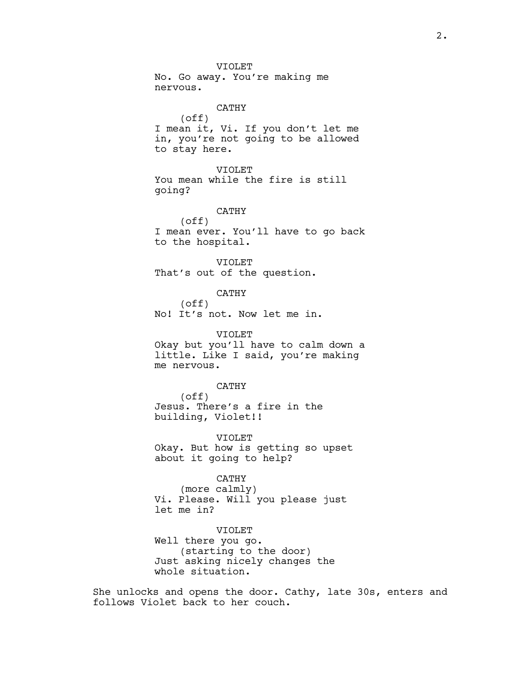VIOLET No. Go away. You're making me nervous. CATHY (off) I mean it, Vi. If you don't let me in, you're not going to be allowed to stay here. VIOLET You mean while the fire is still going? CATHY (off) I mean ever. You'll have to go back to the hospital. VIOLET That's out of the question. CATHY (off) No! It's not. Now let me in. VIOLET Okay but you'll have to calm down a little. Like I said, you're making me nervous. CATHY (off) Jesus. There's a fire in the building, Violet!! VIOLET Okay. But how is getting so upset about it going to help? CATHY (more calmly) Vi. Please. Will you please just let me in? VIOLET Well there you go. (starting to the door)

She unlocks and opens the door. Cathy, late 30s, enters and follows Violet back to her couch.

Just asking nicely changes the

whole situation.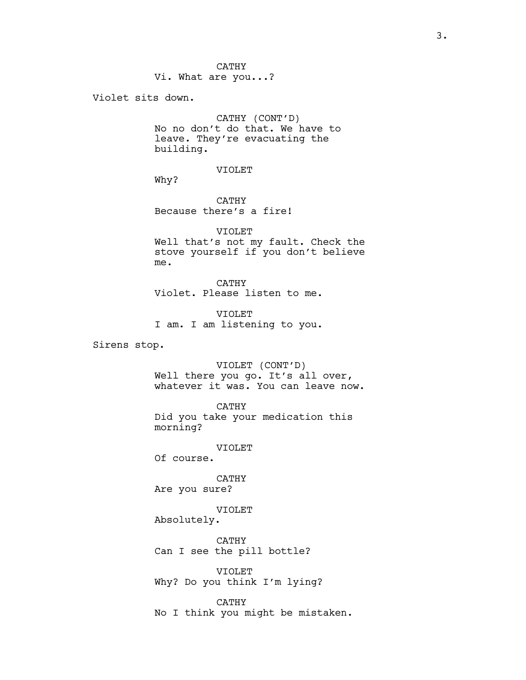Vi. What are you...?

Violet sits down.

CATHY (CONT'D) No no don't do that. We have to leave. They're evacuating the building.

VIOLET

Why?

CATHY Because there's a fire!

VIOLET Well that's not my fault. Check the stove yourself if you don't believe me.

CATHY Violet. Please listen to me.

VIOLET I am. I am listening to you.

Sirens stop.

VIOLET (CONT'D) Well there you go. It's all over, whatever it was. You can leave now.

CATHY Did you take your medication this morning?

VIOLET Of course.

CATHY Are you sure?

VIOLET

Absolutely.

CATHY Can I see the pill bottle?

VIOLET Why? Do you think I'm lying?

CATHY No I think you might be mistaken.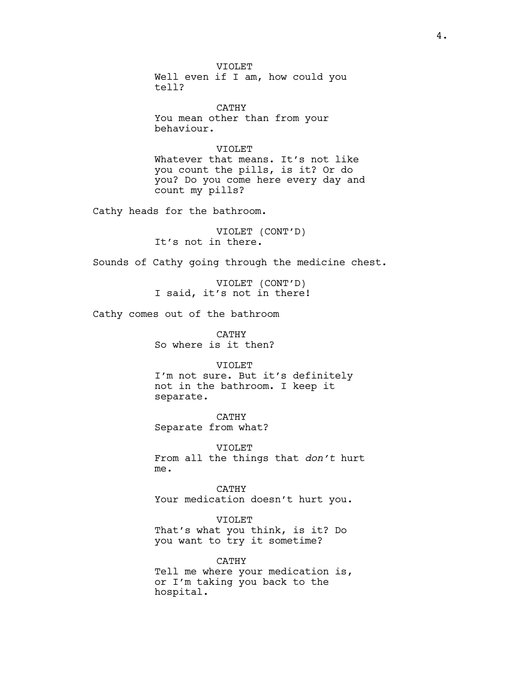VIOLET Well even if I am, how could you tell?

CATHY You mean other than from your behaviour.

VIOLET Whatever that means. It's not like you count the pills, is it? Or do you? Do you come here every day and count my pills?

Cathy heads for the bathroom.

VIOLET (CONT'D) It's not in there.

Sounds of Cathy going through the medicine chest.

VIOLET (CONT'D) I said, it's not in there!

Cathy comes out of the bathroom

CATHY So where is it then?

VIOLET

I'm not sure. But it's definitely not in the bathroom. I keep it separate.

CATHY Separate from what?

VIOLET From all the things that don't hurt me.

CATHY Your medication doesn't hurt you.

VIOLET That's what you think, is it? Do you want to try it sometime?

CATHY Tell me where your medication is, or I'm taking you back to the hospital.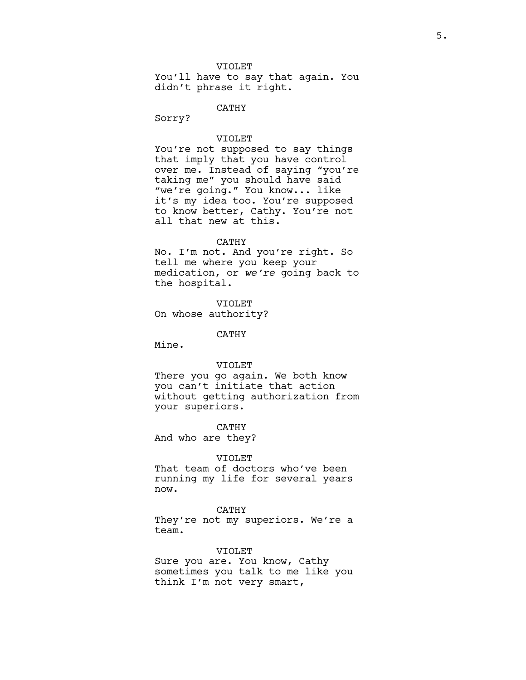### VIOLET

You'll have to say that again. You didn't phrase it right.

CATHY

Sorry?

# VIOLET

You're not supposed to say things that imply that you have control over me. Instead of saying "you're taking me" you should have said "we're going." You know... like it's my idea too. You're supposed to know better, Cathy. You're not all that new at this.

### CATHY

No. I'm not. And you're right. So tell me where you keep your medication, or we're going back to the hospital.

VIOLET On whose authority?

# CATHY

Mine.

#### VIOLET

There you go again. We both know you can't initiate that action without getting authorization from your superiors.

CATHY And who are they?

### VIOLET

That team of doctors who've been running my life for several years now.

CATHY

They're not my superiors. We're a team.

#### VIOLET

Sure you are. You know, Cathy sometimes you talk to me like you think I'm not very smart,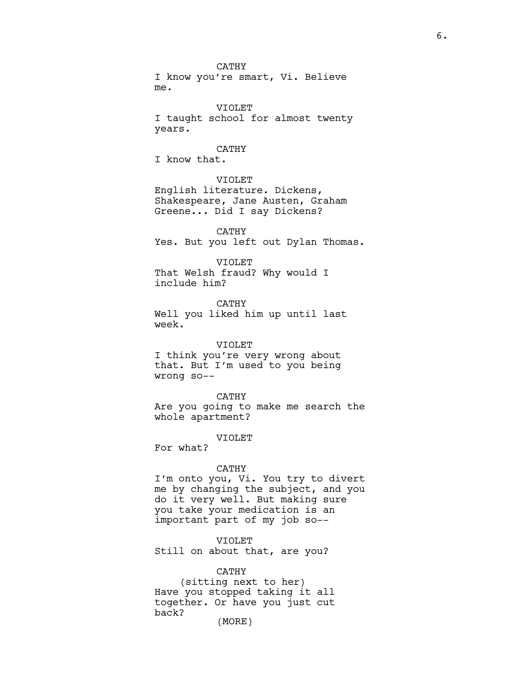CATHY I know you're smart, Vi. Believe me.

VIOLET I taught school for almost twenty years.

# CATHY

I know that.

# VIOLET

English literature. Dickens, Shakespeare, Jane Austen, Graham Greene... Did I say Dickens?

CATHY Yes. But you left out Dylan Thomas.

#### VIOLET

That Welsh fraud? Why would I include him?

CATHY Well you liked him up until last week.

### VIOLET

I think you're very wrong about that. But I'm used to you being wrong so--

### CATHY

Are you going to make me search the whole apartment?

#### VIOLET

For what?

### CATHY

I'm onto you, Vi. You try to divert me by changing the subject, and you do it very well. But making sure you take your medication is an important part of my job so--

# VIOLET

Still on about that, are you?

# CATHY

(sitting next to her) Have you stopped taking it all together. Or have you just cut back? (MORE)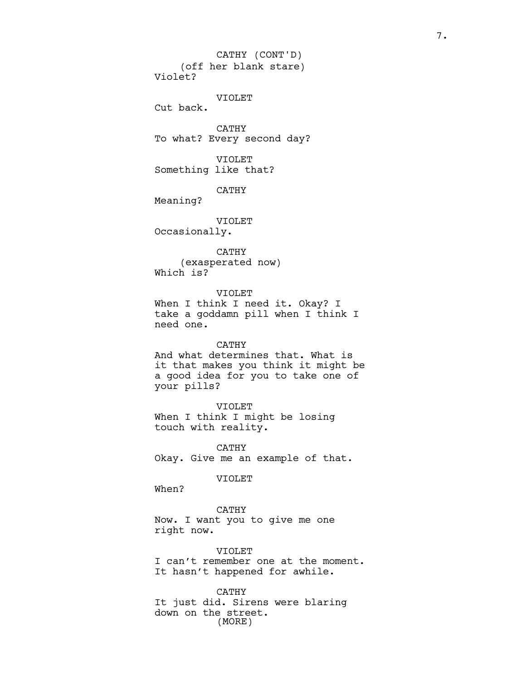7.

(off her blank stare) Violet? CATHY (CONT'D)

VIOLET

Cut back.

CATHY To what? Every second day?

VIOLET Something like that?

CATHY

Meaning?

VIOLET

Occasionally.

CATHY (exasperated now) Which is?

VIOLET

When I think I need it. Okay? I take a goddamn pill when I think I need one.

# CATHY

And what determines that. What is it that makes you think it might be a good idea for you to take one of your pills?

VIOLET

When I think I might be losing touch with reality.

CATHY Okay. Give me an example of that.

### VIOLET

When?

CATHY Now. I want you to give me one right now.

VIOLET I can't remember one at the moment. It hasn't happened for awhile.

CATHY It just did. Sirens were blaring down on the street. (MORE)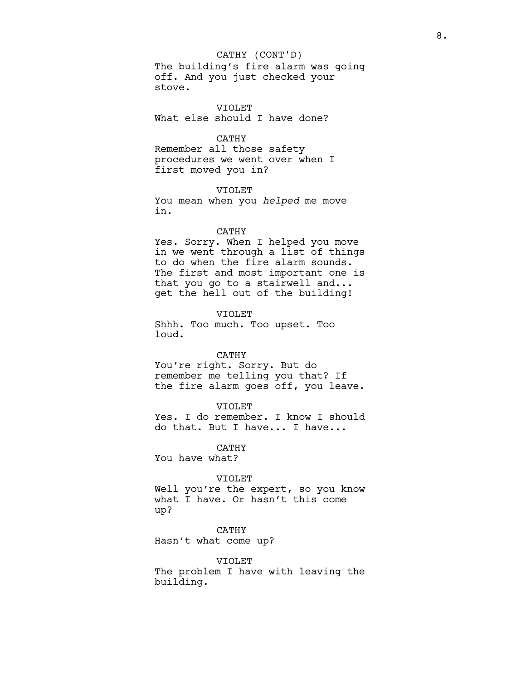### CATHY (CONT'D)

The building's fire alarm was going off. And you just checked your stove.

VIOLET What else should I have done?

# CATHY

Remember all those safety procedures we went over when I first moved you in?

VIOLET You mean when you helped me move in.

### CATHY

Yes. Sorry. When I helped you move in we went through a list of things to do when the fire alarm sounds. The first and most important one is that you go to a stairwell and... get the hell out of the building!

VIOLET Shhh. Too much. Too upset. Too loud.

#### CATHY

You're right. Sorry. But do remember me telling you that? If the fire alarm goes off, you leave.

# VIOLET

Yes. I do remember. I know I should do that. But I have... I have...

CATHY

You have what?

#### VIOLET

Well you're the expert, so you know what I have. Or hasn't this come up?

# CATHY

Hasn't what come up?

VIOLET The problem I have with leaving the building.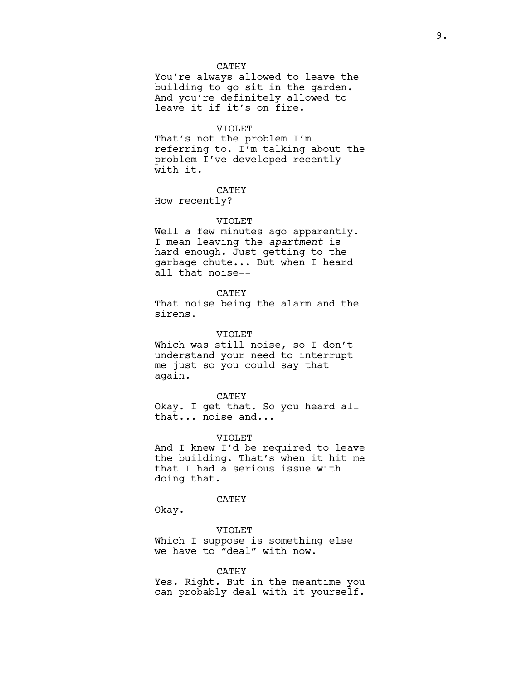### CATHY

You're always allowed to leave the building to go sit in the garden. And you're definitely allowed to leave it if it's on fire.

### VIOLET

That's not the problem I'm referring to. I'm talking about the problem I've developed recently with it.

# CATHY

How recently?

# VIOLET

Well a few minutes ago apparently. I mean leaving the apartment is hard enough. Just getting to the garbage chute... But when I heard all that noise--

## CATHY

That noise being the alarm and the sirens.

#### VIOLET

Which was still noise, so I don't understand your need to interrupt me just so you could say that again.

#### CATHY

Okay. I get that. So you heard all that... noise and...

#### VIOLET

And I knew I'd be required to leave the building. That's when it hit me that I had a serious issue with doing that.

# CATHY

Okay.

VIOLET Which I suppose is something else we have to "deal" with now.

# CATHY

Yes. Right. But in the meantime you can probably deal with it yourself.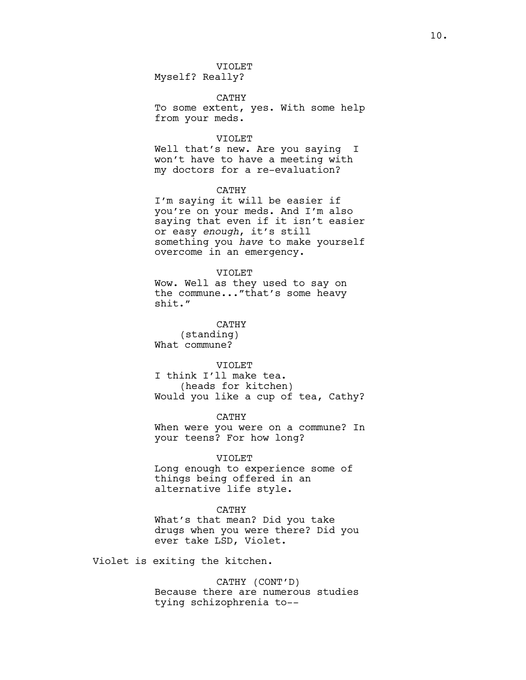VIOLET

Myself? Really?

CATHY

To some extent, yes. With some help from your meds.

#### VIOLET

Well that's new. Are you saying I won't have to have a meeting with my doctors for a re-evaluation?

CATHY

I'm saying it will be easier if you're on your meds. And I'm also saying that even if it isn't easier or easy enough, it's still something you have to make yourself overcome in an emergency.

### VIOLET

Wow. Well as they used to say on the commune..."that's some heavy shit."

CATHY (standing) What commune?

VIOLET

I think I'll make tea. (heads for kitchen) Would you like a cup of tea, Cathy?

CATHY

When were you were on a commune? In your teens? For how long?

# VIOLET

Long enough to experience some of things being offered in an alternative life style.

### CATHY

What's that mean? Did you take drugs when you were there? Did you ever take LSD, Violet.

Violet is exiting the kitchen.

CATHY (CONT'D) Because there are numerous studies tying schizophrenia to--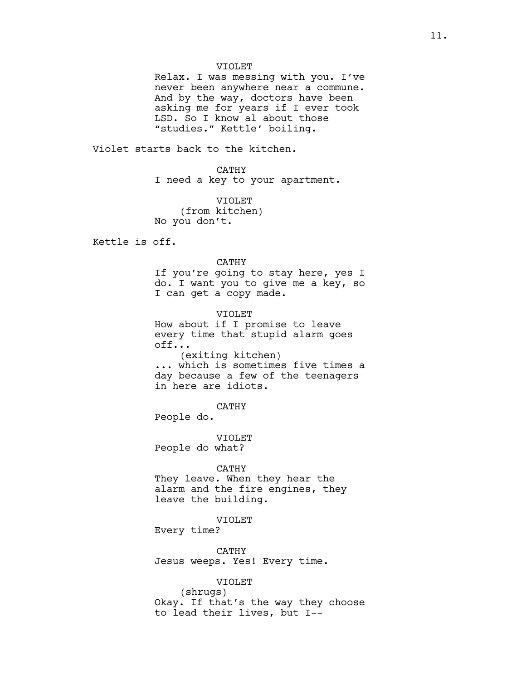### VIOLET

Relax. I was messing with you. I've never been anywhere near a commune. And by the way, doctors have been asking me for years if I ever took LSD. So I know al about those "studies." Kettle' boiling.

Violet starts back to the kitchen.

CATHY I need a key to your apartment.

VIOLET (from kitchen) No you don't.

Kettle is off.

# CATHY

If you're going to stay here, yes I do. I want you to give me a key, so I can get a copy made.

VIOLET How about if I promise to leave every time that stupid alarm goes off... (exiting kitchen) ... which is sometimes five times a day because a few of the teenagers

in here are idiots.

CATHY

People do.

VIOLET People do what?

### CATHY

They leave. When they hear the alarm and the fire engines, they leave the building.

### VIOLET

Every time?

CATHY Jesus weeps. Yes! Every time.

VIOLET

(shrugs) Okay. If that's the way they choose to lead their lives, but I--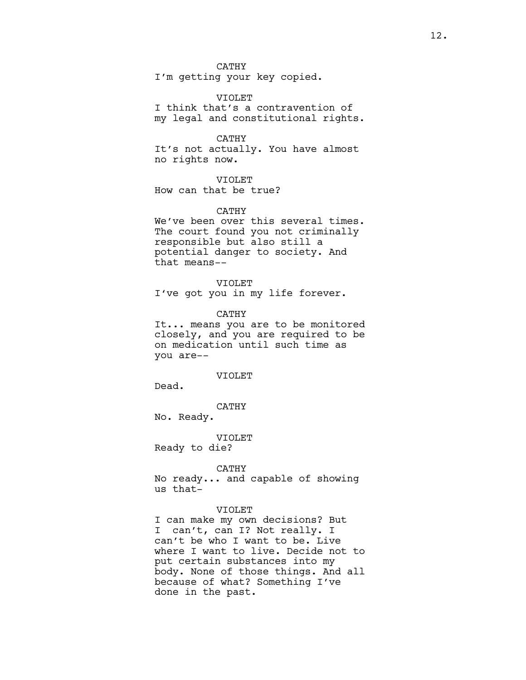CATHY

I'm getting your key copied.

VIOLET I think that's a contravention of my legal and constitutional rights.

CATHY

It's not actually. You have almost no rights now.

# VIOLET

How can that be true?

### CATHY

We've been over this several times. The court found you not criminally responsible but also still a potential danger to society. And that means--

VIOLET I've got you in my life forever.

CATHY

It... means you are to be monitored closely, and you are required to be on medication until such time as you are--

#### VIOLET

Dead.

CATHY

No. Ready.

VIOLET

Ready to die?

CATHY

No ready... and capable of showing us that-

### VIOLET

I can make my own decisions? But I can't, can I? Not really. I can't be who I want to be. Live where I want to live. Decide not to put certain substances into my body. None of those things. And all because of what? Something I've done in the past.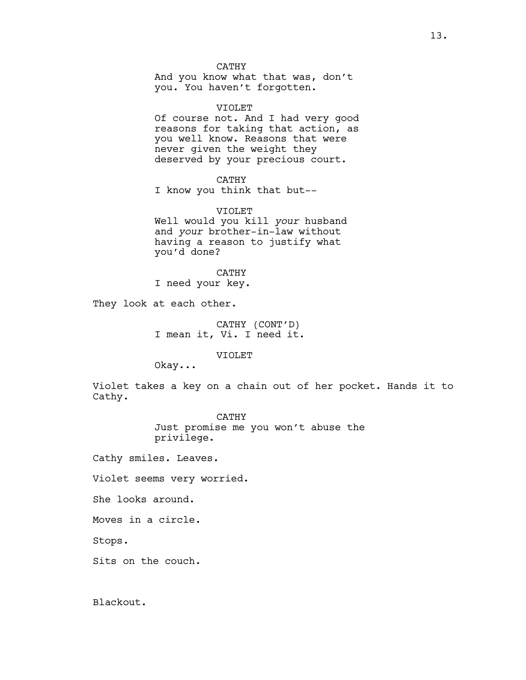### CATHY

And you know what that was, don't you. You haven't forgotten.

### VIOLET

Of course not. And I had very good reasons for taking that action, as you well know. Reasons that were never given the weight they deserved by your precious court.

# CATHY

I know you think that but--

# VIOLET

Well would you kill your husband and your brother-in-law without having a reason to justify what you'd done?

# CATHY

I need your key.

They look at each other.

CATHY (CONT'D) I mean it, Vi. I need it.

VIOLET

Okay...

Violet takes a key on a chain out of her pocket. Hands it to Cathy.

> CATHY Just promise me you won't abuse the privilege.

Cathy smiles. Leaves.

Violet seems very worried.

She looks around.

Moves in a circle.

Stops.

Sits on the couch.

Blackout.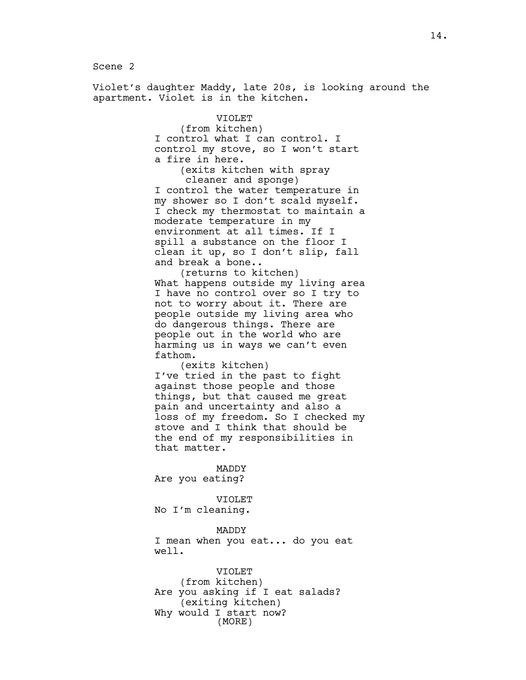Scene 2

Violet's daughter Maddy, late 20s, is looking around the apartment. Violet is in the kitchen.

> VIOLET (from kitchen) I control what I can control. I control my stove, so I won't start a fire in here. (exits kitchen with spray cleaner and sponge) I control the water temperature in my shower so I don't scald myself. I check my thermostat to maintain a moderate temperature in my environment at all times. If I spill a substance on the floor I clean it up, so I don't slip, fall and break a bone.. (returns to kitchen) What happens outside my living area I have no control over so I try to not to worry about it. There are people outside my living area who do dangerous things. There are people out in the world who are harming us in ways we can't even fathom. (exits kitchen) I've tried in the past to fight against those people and those things, but that caused me great pain and uncertainty and also a loss of my freedom. So I checked my stove and I think that should be the end of my responsibilities in that matter. MADDY Are you eating?

VIOLET No I'm cleaning.

MADDY I mean when you eat... do you eat well.

VIOLET (from kitchen) Are you asking if I eat salads? (exiting kitchen) Why would I start now? (MORE)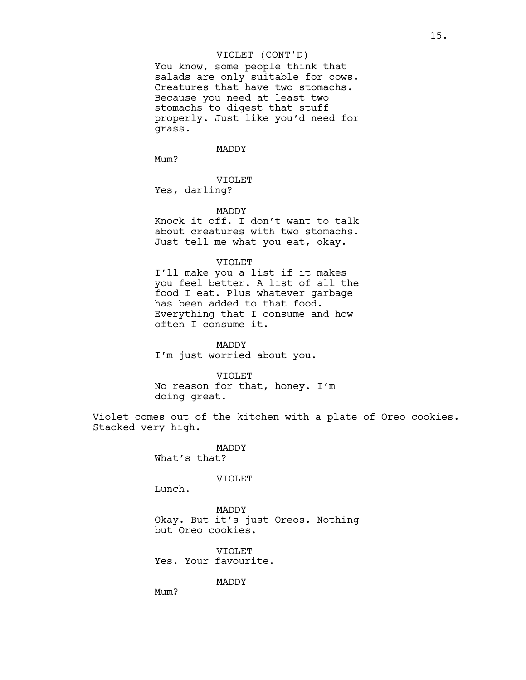# VIOLET (CONT'D)

You know, some people think that salads are only suitable for cows. Creatures that have two stomachs. Because you need at least two stomachs to digest that stuff properly. Just like you'd need for grass.

#### MADDY

Mum?

VIOLET

Yes, darling?

### MADDY

Knock it off. I don't want to talk about creatures with two stomachs. Just tell me what you eat, okay.

# VIOLET

I'll make you a list if it makes you feel better. A list of all the food I eat. Plus whatever garbage has been added to that food. Everything that I consume and how often I consume it.

MADDY I'm just worried about you.

#### VIOLET

No reason for that, honey. I'm doing great.

Violet comes out of the kitchen with a plate of Oreo cookies. Stacked very high.

> MADDY What's that?

#### VIOLET

Lunch.

Mum?

MADDY Okay. But it's just Oreos. Nothing but Oreo cookies.

VIOLET Yes. Your favourite.

MADDY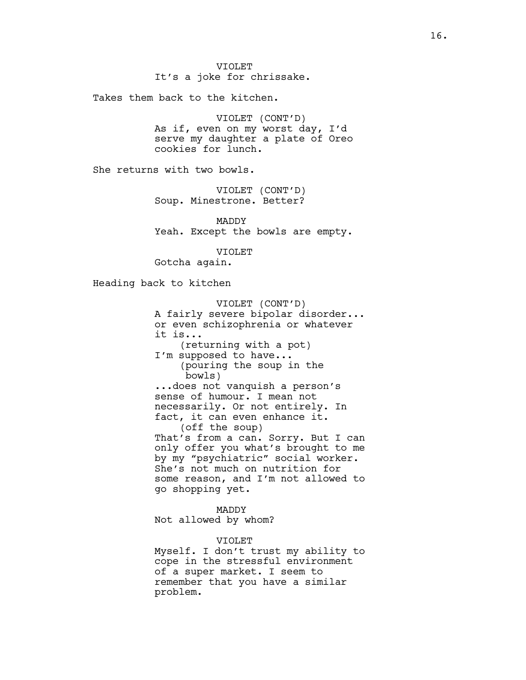Takes them back to the kitchen.

VIOLET (CONT'D) As if, even on my worst day, I'd serve my daughter a plate of Oreo cookies for lunch.

She returns with two bowls.

VIOLET (CONT'D) Soup. Minestrone. Better?

MADDY Yeah. Except the bowls are empty.

VIOLET

Gotcha again.

Heading back to kitchen

VIOLET (CONT'D) A fairly severe bipolar disorder... or even schizophrenia or whatever it is... (returning with a pot) I'm supposed to have... (pouring the soup in the bowls) ...does not vanquish a person's sense of humour. I mean not necessarily. Or not entirely. In fact, it can even enhance it. (off the soup) That's from a can. Sorry. But I can only offer you what's brought to me by my "psychiatric" social worker. She's not much on nutrition for some reason, and I'm not allowed to go shopping yet.

MADDY Not allowed by whom?

VIOLET

Myself. I don't trust my ability to cope in the stressful environment of a super market. I seem to remember that you have a similar problem.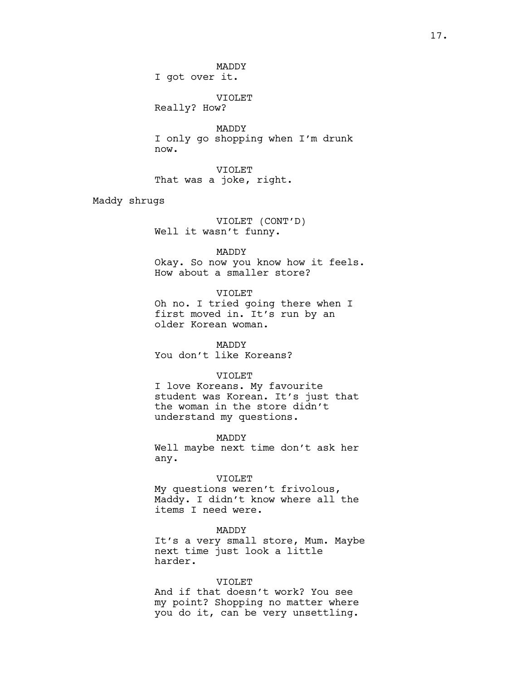MADDY I got over it.

VIOLET

Really? How?

MADDY I only go shopping when I'm drunk now.

VIOLET That was a joke, right.

Maddy shrugs

VIOLET (CONT'D) Well it wasn't funny.

MADDY

Okay. So now you know how it feels. How about a smaller store?

VIOLET

Oh no. I tried going there when I first moved in. It's run by an older Korean woman.

MADDY You don't like Koreans?

# VIOLET

I love Koreans. My favourite student was Korean. It's just that the woman in the store didn't understand my questions.

MADDY

Well maybe next time don't ask her any.

VIOLET

My questions weren't frivolous, Maddy. I didn't know where all the items I need were.

MADDY It's a very small store, Mum. Maybe next time just look a little harder.

# VIOLET

And if that doesn't work? You see my point? Shopping no matter where you do it, can be very unsettling.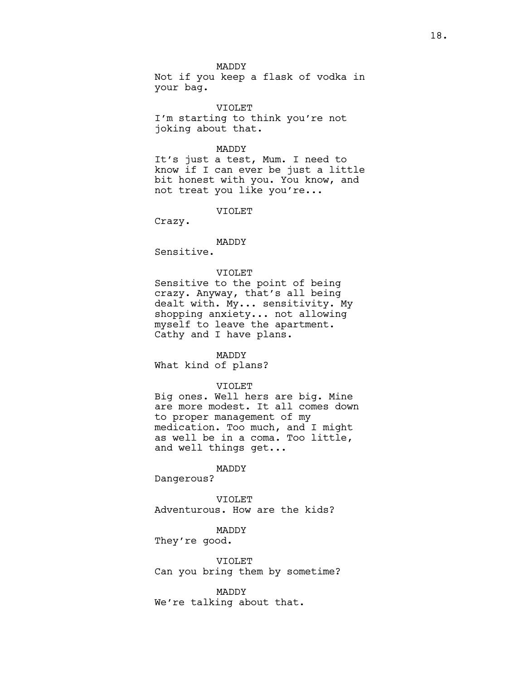MADDY

Not if you keep a flask of vodka in your bag.

VIOLET I'm starting to think you're not joking about that.

#### MADDY

It's just a test, Mum. I need to know if I can ever be just a little bit honest with you. You know, and not treat you like you're...

VIOLET

Crazy.

# MADDY

Sensitive.

# VIOLET

Sensitive to the point of being crazy. Anyway, that's all being dealt with. My... sensitivity. My shopping anxiety... not allowing myself to leave the apartment. Cathy and I have plans.

#### MADDY

What kind of plans?

### VIOLET

Big ones. Well hers are big. Mine are more modest. It all comes down to proper management of my medication. Too much, and I might as well be in a coma. Too little, and well things get...

### MADDY

Dangerous?

VIOLET Adventurous. How are the kids?

MADDY

They're good.

VIOLET Can you bring them by sometime?

MADDY We're talking about that.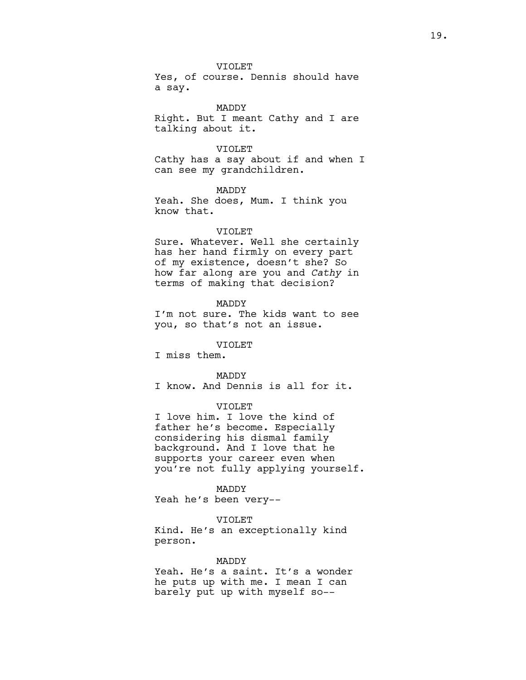VIOLET

Yes, of course. Dennis should have a say.

MADDY Right. But I meant Cathy and I are talking about it.

#### VIOLET

Cathy has a say about if and when I can see my grandchildren.

MADDY Yeah. She does, Mum. I think you know that.

### VIOLET

Sure. Whatever. Well she certainly has her hand firmly on every part of my existence, doesn't she? So how far along are you and Cathy in terms of making that decision?

## MADDY

I'm not sure. The kids want to see you, so that's not an issue.

# VIOLET

I miss them.

### MADDY

I know. And Dennis is all for it.

# VIOLET

I love him. I love the kind of father he's become. Especially considering his dismal family background. And I love that he supports your career even when you're not fully applying yourself.

### MADDY

Yeah he's been very--

### VIOLET

Kind. He's an exceptionally kind person.

### MADDY

Yeah. He's a saint. It's a wonder he puts up with me. I mean I can barely put up with myself so--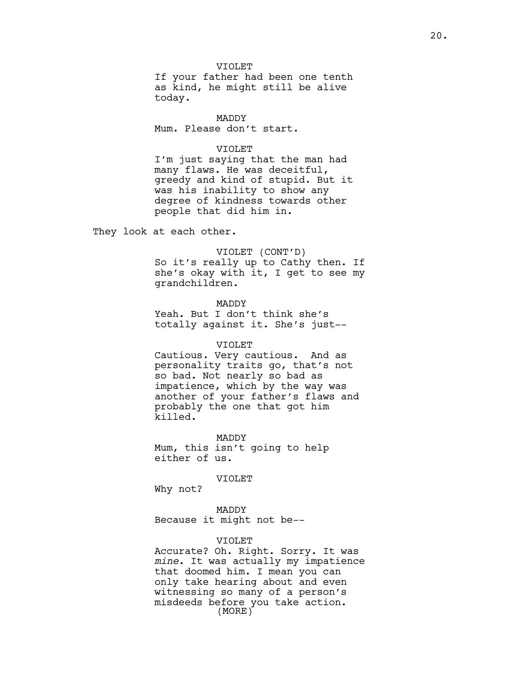### VIOLET

If your father had been one tenth as kind, he might still be alive today.

## MADDY

Mum. Please don't start.

# VIOLET

I'm just saying that the man had many flaws. He was deceitful, greedy and kind of stupid. But it was his inability to show any degree of kindness towards other people that did him in.

They look at each other.

# VIOLET (CONT'D)

So it's really up to Cathy then. If she's okay with it, I get to see my grandchildren.

MADDY Yeah. But I don't think she's totally against it. She's just--

# VIOLET

Cautious. Very cautious. And as personality traits go, that's not so bad. Not nearly so bad as impatience, which by the way was another of your father's flaws and probably the one that got him killed.

MADDY Mum, this isn't going to help either of us.

### VIOLET

Why not?

MADDY Because it might not be--

### VIOLET

Accurate? Oh. Right. Sorry. It was mine. It was actually my impatience that doomed him. I mean you can only take hearing about and even witnessing so many of a person's misdeeds before you take action. (MORE)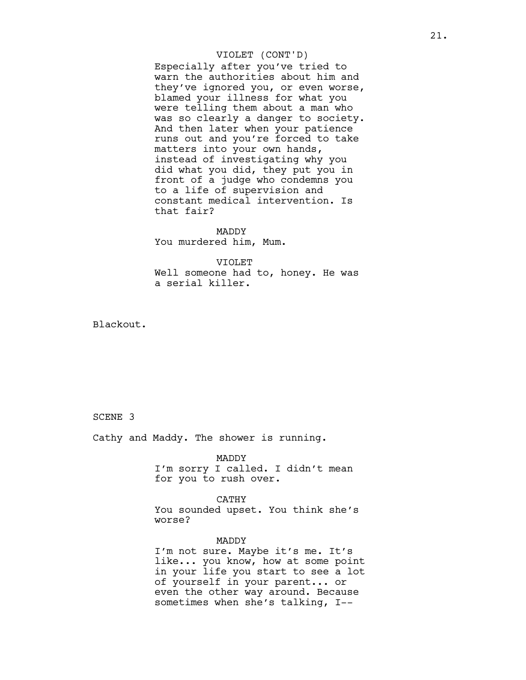## VIOLET (CONT'D)

Especially after you've tried to warn the authorities about him and they've ignored you, or even worse, blamed your illness for what you were telling them about a man who was so clearly a danger to society. And then later when your patience runs out and you're forced to take matters into your own hands, instead of investigating why you did what you did, they put you in front of a judge who condemns you to a life of supervision and constant medical intervention. Is that fair?

MADDY You murdered him, Mum.

VIOLET Well someone had to, honey. He was a serial killer.

Blackout.

SCENE 3

Cathy and Maddy. The shower is running.

# MADDY

I'm sorry I called. I didn't mean for you to rush over.

CATHY You sounded upset. You think she's worse?

# MADDY

I'm not sure. Maybe it's me. It's like... you know, how at some point in your life you start to see a lot of yourself in your parent... or even the other way around. Because sometimes when she's talking, I--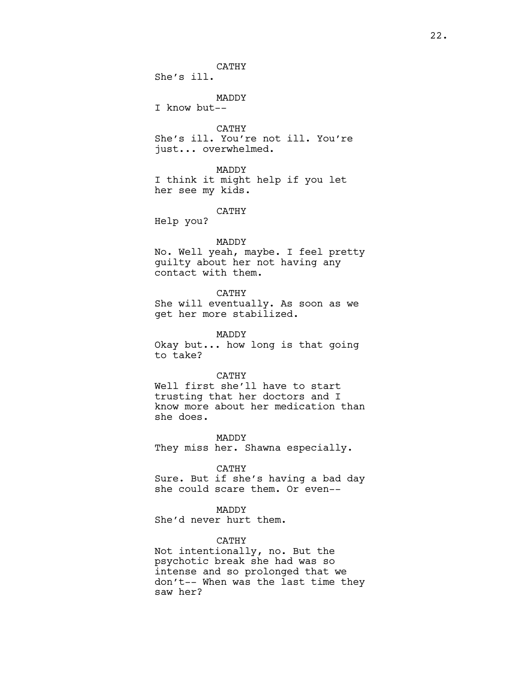CATHY

She's ill.

MADDY

I know but--

CATHY She's ill. You're not ill. You're just... overwhelmed.

MADDY I think it might help if you let her see my kids.

CATHY

Help you?

# MADDY

No. Well yeah, maybe. I feel pretty guilty about her not having any contact with them.

CATHY

She will eventually. As soon as we get her more stabilized.

MADDY

Okay but... how long is that going to take?

### CATHY

Well first she'll have to start trusting that her doctors and I know more about her medication than she does.

MADDY They miss her. Shawna especially.

# CATHY

Sure. But if she's having a bad day she could scare them. Or even--

# MADDY

She'd never hurt them.

# CATHY

Not intentionally, no. But the psychotic break she had was so intense and so prolonged that we don't-- When was the last time they saw her?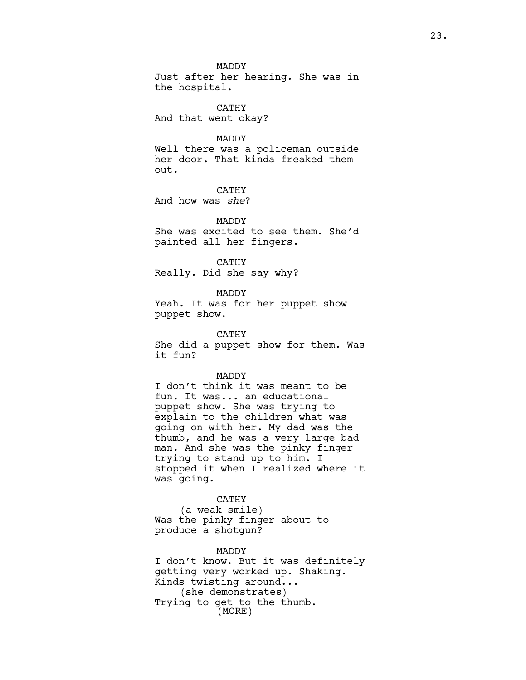MADDY Just after her hearing. She was in the hospital.

CATHY And that went okay?

# MADDY

Well there was a policeman outside her door. That kinda freaked them out.

CATHY And how was she?

MADDY She was excited to see them. She'd painted all her fingers.

CATHY Really. Did she say why?

MADDY Yeah. It was for her puppet show

puppet show. CATHY

She did a puppet show for them. Was it fun?

# MADDY

I don't think it was meant to be fun. It was... an educational puppet show. She was trying to explain to the children what was going on with her. My dad was the thumb, and he was a very large bad man. And she was the pinky finger trying to stand up to him. I stopped it when I realized where it was going.

### CATHY

(a weak smile) Was the pinky finger about to produce a shotgun?

#### MADDY

I don't know. But it was definitely getting very worked up. Shaking. Kinds twisting around... (she demonstrates) Trying to get to the thumb. (MORE)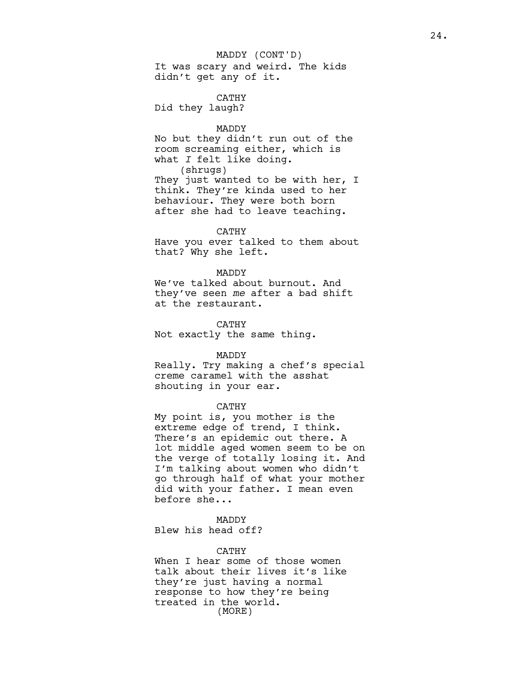It was scary and weird. The kids didn't get any of it. MADDY (CONT'D)

CATHY Did they laugh?

#### MADDY

No but they didn't run out of the room screaming either, which is what  $I$  felt like doing. (shrugs)

They just wanted to be with her, I think. They're kinda used to her behaviour. They were both born after she had to leave teaching.

# CATHY

Have you ever talked to them about that? Why she left.

# MADDY

We've talked about burnout. And they've seen me after a bad shift at the restaurant.

### CATHY

Not exactly the same thing.

#### MADDY

Really. Try making a chef's special creme caramel with the asshat shouting in your ear.

# CATHY

My point is, you mother is the extreme edge of trend, I think. There's an epidemic out there. A lot middle aged women seem to be on the verge of totally losing it. And I'm talking about women who didn't go through half of what your mother did with your father. I mean even before she...

# MADDY

Blew his head off?

### CATHY

When I hear some of those women talk about their lives it's like they're just having a normal response to how they're being treated in the world. (MORE)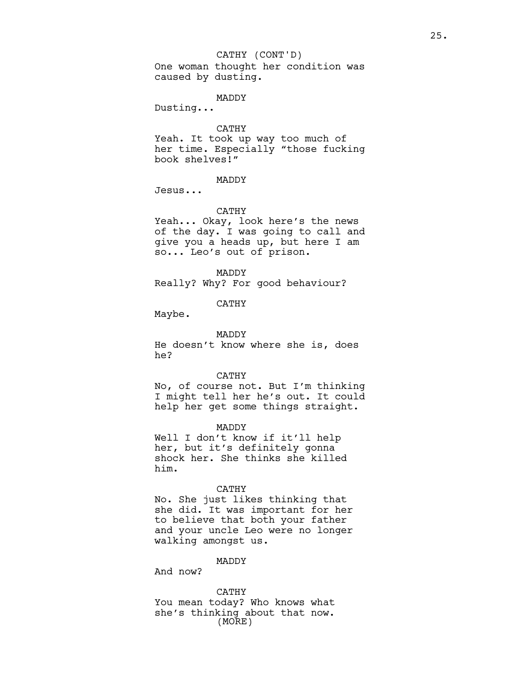One woman thought her condition was caused by dusting. CATHY (CONT'D)

#### MADDY

Dusting...

CATHY

Yeah. It took up way too much of her time. Especially "those fucking book shelves!"

MADDY

Jesus...

#### CATHY

Yeah... Okay, look here's the news of the day. I was going to call and give you a heads up, but here I am so... Leo's out of prison.

MADDY

Really? Why? For good behaviour?

CATHY

Maybe.

MADDY

He doesn't know where she is, does he?

CATHY

No, of course not. But I'm thinking I might tell her he's out. It could help her get some things straight.

MADDY

Well I don't know if it'll help her, but it's definitely gonna shock her. She thinks she killed him.

### CATHY

No. She just likes thinking that she did. It was important for her to believe that both your father and your uncle Leo were no longer walking amongst us.

MADDY

And now?

CATHY You mean today? Who knows what she's thinking about that now. (MORE)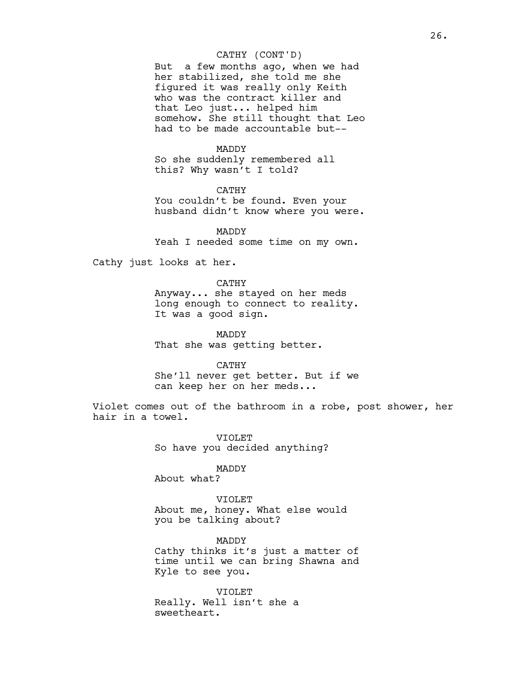# CATHY (CONT'D)

But a few months ago, when we had her stabilized, she told me she figured it was really only Keith who was the contract killer and that Leo just... helped him somehow. She still thought that Leo had to be made accountable but--

### MADDY

So she suddenly remembered all this? Why wasn't I told?

CATHY You couldn't be found. Even your husband didn't know where you were.

MADDY Yeah I needed some time on my own.

Cathy just looks at her.

### CATHY

Anyway... she stayed on her meds long enough to connect to reality. It was a good sign.

MADDY That she was getting better.

CATHY

She'll never get better. But if we can keep her on her meds...

Violet comes out of the bathroom in a robe, post shower, her hair in a towel.

> VIOLET So have you decided anything?

# MADDY

About what?

VIOLET About me, honey. What else would you be talking about?

MADDY Cathy thinks it's just a matter of time until we can bring Shawna and Kyle to see you.

VIOLET Really. Well isn't she a sweetheart.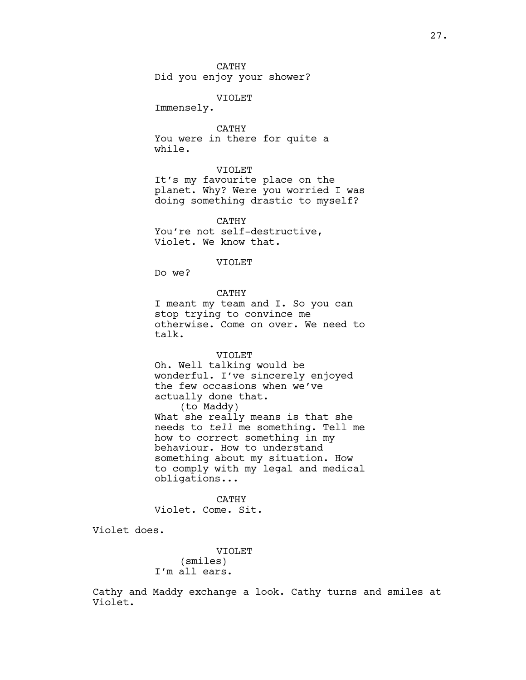VIOLET

Immensely.

CATHY You were in there for quite a while.

# VIOLET

It's my favourite place on the planet. Why? Were you worried I was doing something drastic to myself?

CATHY You're not self-destructive, Violet. We know that.

### VIOLET

Do we?

# CATHY

I meant my team and I. So you can stop trying to convince me otherwise. Come on over. We need to talk.

### VIOLET

Oh. Well talking would be wonderful. I've sincerely enjoyed the few occasions when we've actually done that. (to Maddy) What she really means is that she needs to tell me something. Tell me how to correct something in my behaviour. How to understand something about my situation. How to comply with my legal and medical obligations...

CATHY Violet. Come. Sit.

Violet does.

VIOLET (smiles) I'm all ears.

Cathy and Maddy exchange a look. Cathy turns and smiles at Violet.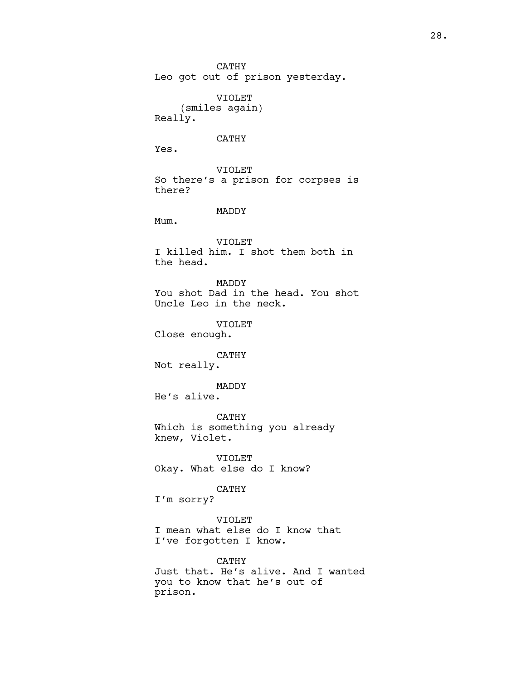CATHY Leo got out of prison yesterday. VIOLET (smiles again) Really. CATHY Yes. VIOLET So there's a prison for corpses is there?

MADDY

Mum.

VIOLET I killed him. I shot them both in the head.

MADDY You shot Dad in the head. You shot Uncle Leo in the neck.

VIOLET Close enough.

CATHY Not really.

MADDY He's alive.

CATHY Which is something you already knew, Violet.

VIOLET Okay. What else do I know?

CATHY

I'm sorry?

VIOLET

I mean what else do I know that I've forgotten I know.

CATHY Just that. He's alive. And I wanted you to know that he's out of prison.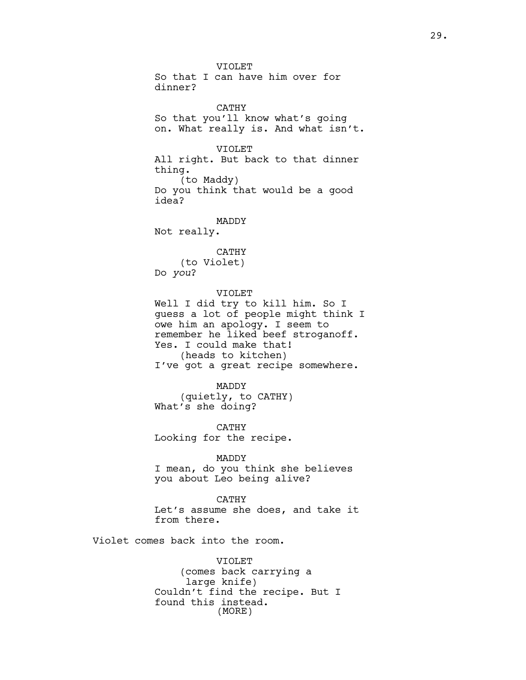VIOLET So that I can have him over for dinner? CATHY So that you'll know what's going on. What really is. And what isn't. VIOLET All right. But back to that dinner thing. (to Maddy) Do you think that would be a good idea? MADDY Not really. CATHY (to Violet) Do you? VIOLET Well I did try to kill him. So I guess a lot of people might think I owe him an apology. I seem to remember he liked beef stroganoff. Yes. I could make that! (heads to kitchen) I've got a great recipe somewhere. MADDY (quietly, to CATHY) What's she doing? CATHY Looking for the recipe. MADDY I mean, do you think she believes you about Leo being alive? CATHY Let's assume she does, and take it from there. Violet comes back into the room. VIOLET (comes back carrying a large knife)

Couldn't find the recipe. But I found this instead. (MORE)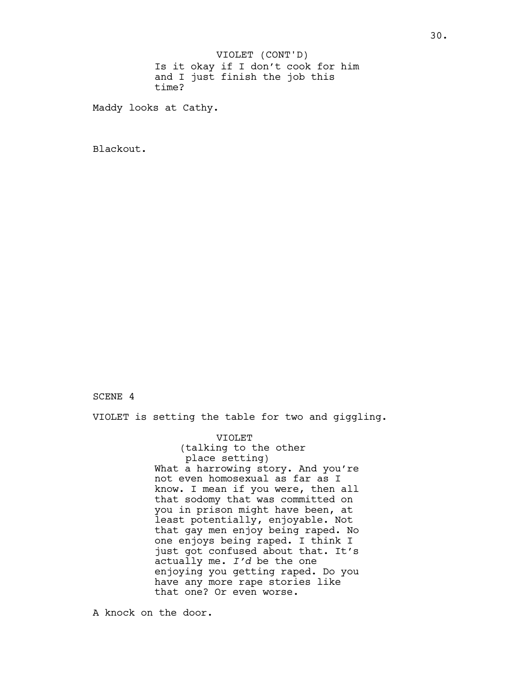Is it okay if I don't cook for him and I just finish the job this time? VIOLET (CONT'D)

Maddy looks at Cathy.

Blackout.

# SCENE 4

VIOLET is setting the table for two and giggling.

VIOLET (talking to the other place setting) What a harrowing story. And you're not even homosexual as far as I know. I mean if you were, then all that sodomy that was committed on you in prison might have been, at least potentially, enjoyable. Not that gay men enjoy being raped. No one enjoys being raped. I think I just got confused about that. It's actually me. I'd be the one enjoying you getting raped. Do you have any more rape stories like that one? Or even worse.

A knock on the door.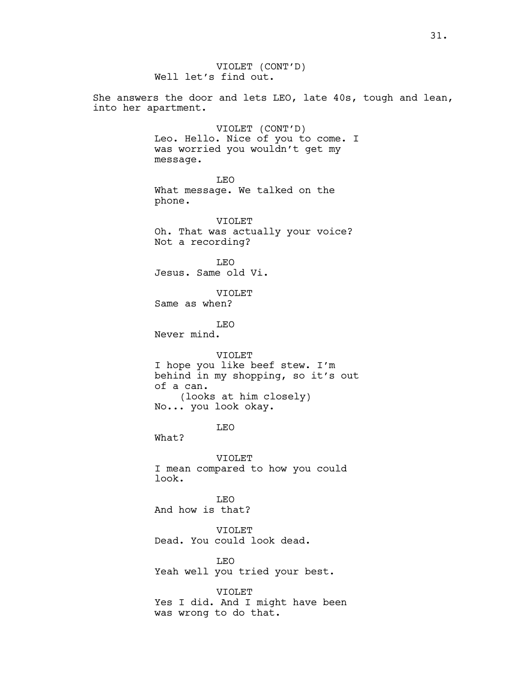VIOLET (CONT'D) Well let's find out. She answers the door and lets LEO, late 40s, tough and lean, into her apartment. VIOLET (CONT'D) Leo. Hello. Nice of you to come. I was worried you wouldn't get my message. LEO What message. We talked on the phone. VIOLET Oh. That was actually your voice? Not a recording? LEO Jesus. Same old Vi. VIOLET Same as when? LEO Never mind. VIOLET I hope you like beef stew. I'm behind in my shopping, so it's out of a can. (looks at him closely) No... you look okay. LEO What? VIOLET I mean compared to how you could look. LEO And how is that? VIOLET Dead. You could look dead. LEO Yeah well you tried your best. VIOLET Yes I did. And I might have been was wrong to do that.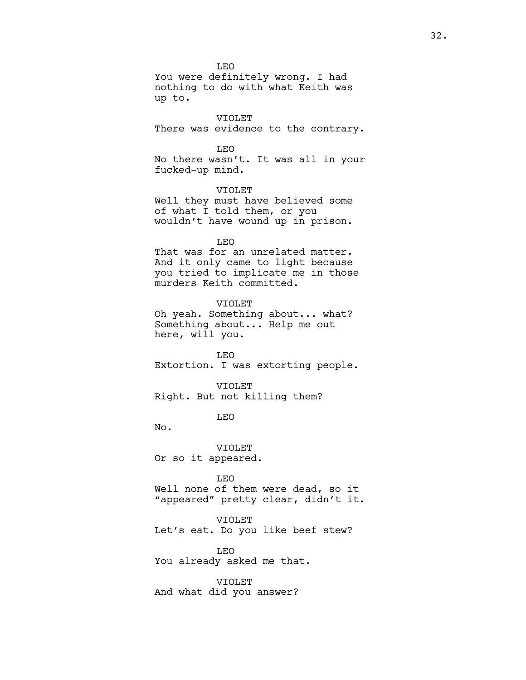LEO You were definitely wrong. I had nothing to do with what Keith was up to.

VIOLET There was evidence to the contrary.

LEO

No there wasn't. It was all in your fucked-up mind.

VIOLET Well they must have believed some of what I told them, or you wouldn't have wound up in prison.

LEO

That was for an unrelated matter. And it only came to light because you tried to implicate me in those murders Keith committed.

VIOLET Oh yeah. Something about... what? Something about... Help me out here, will you.

LEO Extortion. I was extorting people.

VIOLET Right. But not killing them?

LEO

No.

VIOLET Or so it appeared.

LEO Well none of them were dead, so it "appeared" pretty clear, didn't it.

VIOLET

Let's eat. Do you like beef stew?

LEO You already asked me that.

VIOLET And what did you answer?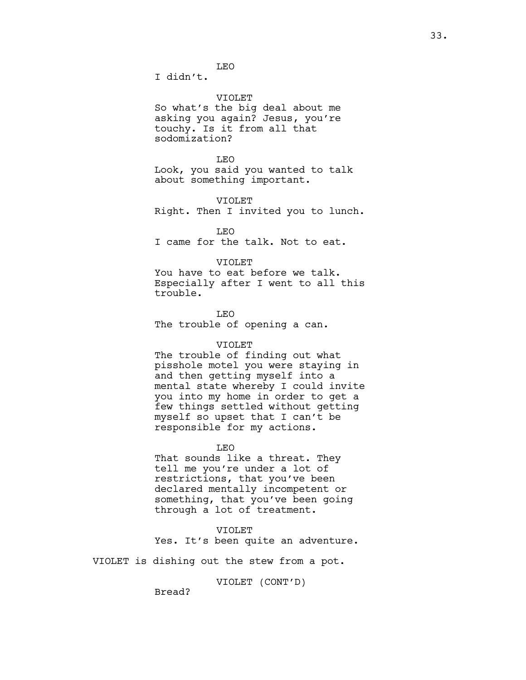LEO

I didn't.

VIOLET

So what's the big deal about me asking you again? Jesus, you're touchy. Is it from all that sodomization?

LEO Look, you said you wanted to talk about something important.

VIOLET Right. Then I invited you to lunch.

LEO I came for the talk. Not to eat.

# VIOLET

You have to eat before we talk. Especially after I went to all this trouble.

LEO The trouble of opening a can.

# VIOLET

The trouble of finding out what pisshole motel you were staying in and then getting myself into a mental state whereby I could invite you into my home in order to get a few things settled without getting myself so upset that I can't be responsible for my actions.

LEO

That sounds like a threat. They tell me you're under a lot of restrictions, that you've been declared mentally incompetent or something, that you've been going through a lot of treatment.

VIOLET

Yes. It's been quite an adventure.

VIOLET is dishing out the stew from a pot.

VIOLET (CONT'D)

Bread?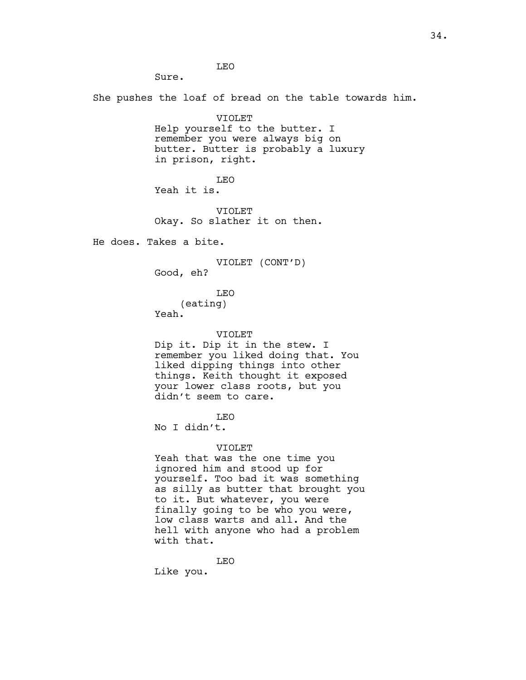LEO

She pushes the loaf of bread on the table towards him.

VIOLET Help yourself to the butter. I remember you were always big on butter. Butter is probably a luxury in prison, right.

LEO Yeah it is.

VIOLET Okay. So slather it on then.

He does. Takes a bite.

Sure.

VIOLET (CONT'D)

Good, eh?

LEO

(eating)

Yeah.

VIOLET

Dip it. Dip it in the stew. I remember you liked doing that. You liked dipping things into other things. Keith thought it exposed your lower class roots, but you didn't seem to care.

LEO

No I didn't.

VIOLET

Yeah that was the one time you ignored him and stood up for yourself. Too bad it was something as silly as butter that brought you to it. But whatever, you were finally going to be who you were, low class warts and all. And the hell with anyone who had a problem with that.

LEO Like you.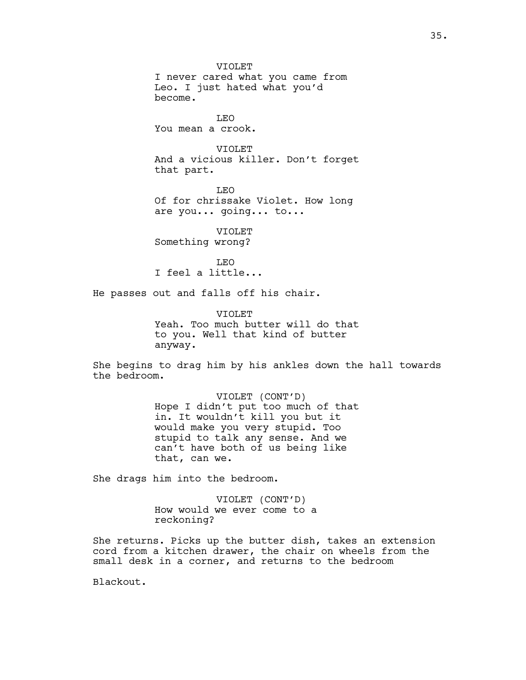VIOLET I never cared what you came from Leo. I just hated what you'd become. LEO

You mean a crook.

VIOLET And a vicious killer. Don't forget that part.

LEO Of for chrissake Violet. How long are you... going... to...

VIOLET Something wrong?

LEO I feel a little...

He passes out and falls off his chair.

VIOLET Yeah. Too much butter will do that to you. Well that kind of butter anyway.

She begins to drag him by his ankles down the hall towards the bedroom.

> VIOLET (CONT'D) Hope I didn't put too much of that in. It wouldn't kill you but it would make you very stupid. Too stupid to talk any sense. And we can't have both of us being like that, can we.

She drags him into the bedroom.

VIOLET (CONT'D) How would we ever come to a reckoning?

She returns. Picks up the butter dish, takes an extension cord from a kitchen drawer, the chair on wheels from the small desk in a corner, and returns to the bedroom

Blackout.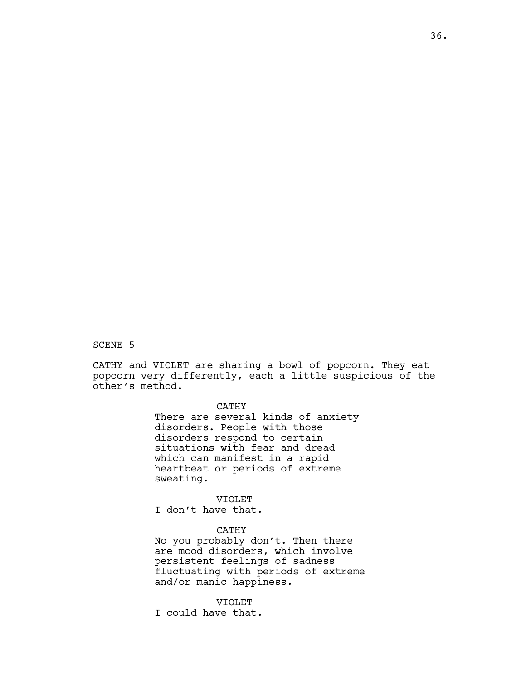# SCENE 5

CATHY and VIOLET are sharing a bowl of popcorn. They eat popcorn very differently, each a little suspicious of the other's method.

# CATHY

There are several kinds of anxiety disorders. People with those disorders respond to certain situations with fear and dread which can manifest in a rapid heartbeat or periods of extreme sweating.

#### VIOLET

I don't have that.

# CATHY

No you probably don't. Then there are mood disorders, which involve persistent feelings of sadness fluctuating with periods of extreme and/or manic happiness.

## VIOLET

I could have that.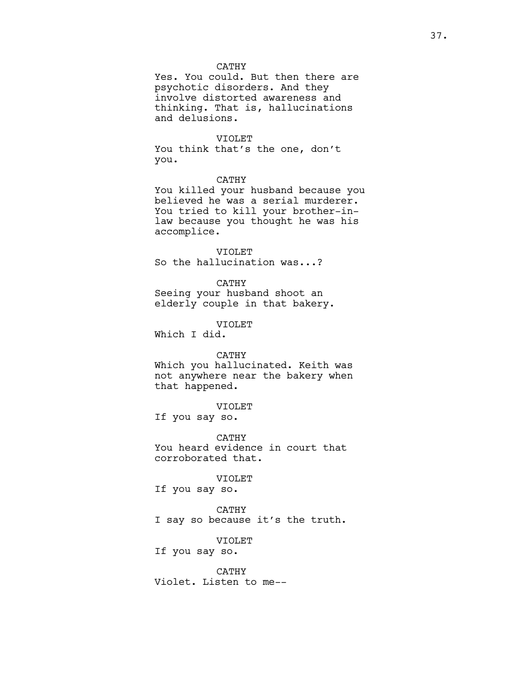## CATHY

Yes. You could. But then there are psychotic disorders. And they involve distorted awareness and thinking. That is, hallucinations and delusions.

#### VIOLET

You think that's the one, don't you.

## CATHY

You killed your husband because you believed he was a serial murderer. You tried to kill your brother-inlaw because you thought he was his accomplice.

#### VIOLET

So the hallucination was...?

#### CATHY

Seeing your husband shoot an elderly couple in that bakery.

VIOLET

Which I did.

# CATHY

Which you hallucinated. Keith was not anywhere near the bakery when that happened.

## VIOLET

If you say so.

CATHY You heard evidence in court that corroborated that.

#### VIOLET

If you say so.

CATHY I say so because it's the truth.

# VIOLET If you say so.

CATHY

Violet. Listen to me--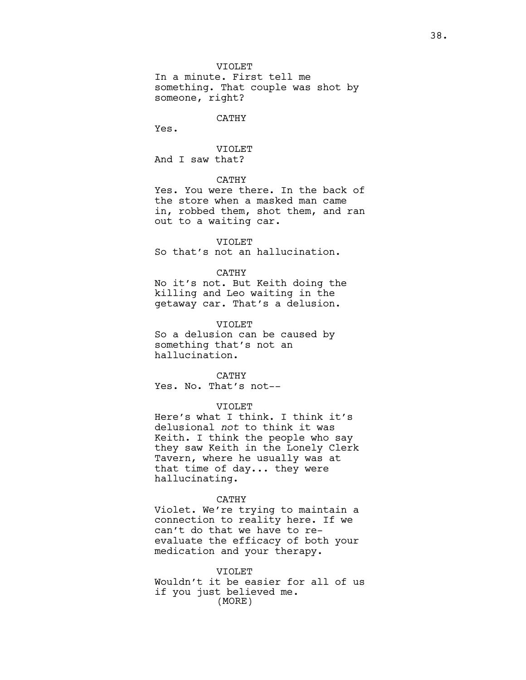VIOLET

In a minute. First tell me something. That couple was shot by someone, right?

## CATHY

Yes.

VIOLET And I saw that?

## CATHY

Yes. You were there. In the back of the store when a masked man came in, robbed them, shot them, and ran out to a waiting car.

#### VIOLET

So that's not an hallucination.

## CATHY

No it's not. But Keith doing the killing and Leo waiting in the getaway car. That's a delusion.

#### VIOLET

So a delusion can be caused by something that's not an hallucination.

CATHY Yes. No. That's not--

## VIOLET

Here's what I think. I think it's delusional not to think it was Keith. I think the people who say they saw Keith in the Lonely Clerk Tavern, where he usually was at that time of day... they were hallucinating.

#### CATHY

Violet. We're trying to maintain a connection to reality here. If we can't do that we have to reevaluate the efficacy of both your medication and your therapy.

VIOLET Wouldn't it be easier for all of us if you just believed me. (MORE)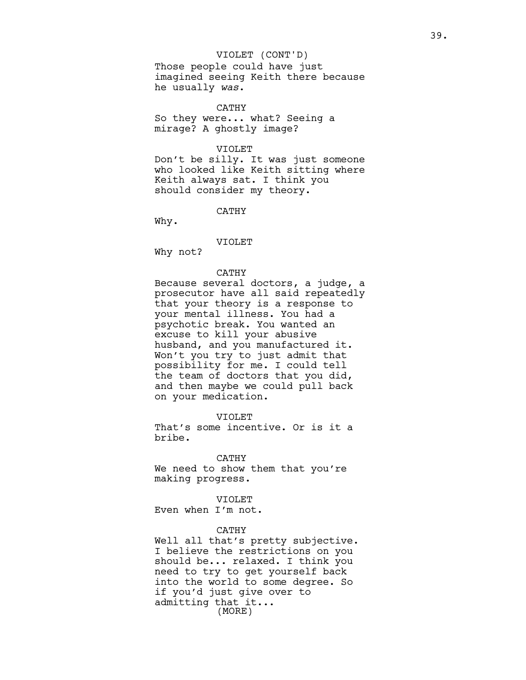Those people could have just imagined seeing Keith there because he usually was.

CATHY So they were... what? Seeing a mirage? A ghostly image?

#### VIOLET

Don't be silly. It was just someone who looked like Keith sitting where Keith always sat. I think you should consider my theory.

CATHY

Why.

# VIOLET

Why not?

## CATHY

Because several doctors, a judge, a prosecutor have all said repeatedly that your theory is a response to your mental illness. You had a psychotic break. You wanted an excuse to kill your abusive husband, and you manufactured it. Won't you try to just admit that possibility for me. I could tell the team of doctors that you did, and then maybe we could pull back on your medication.

VIOLET That's some incentive. Or is it a bribe.

### CATHY

We need to show them that you're making progress.

## VIOLET

Even when I'm not.

## CATHY

Well all that's pretty subjective. I believe the restrictions on you should be... relaxed. I think you need to try to get yourself back into the world to some degree. So if you'd just give over to admitting that it... (MORE)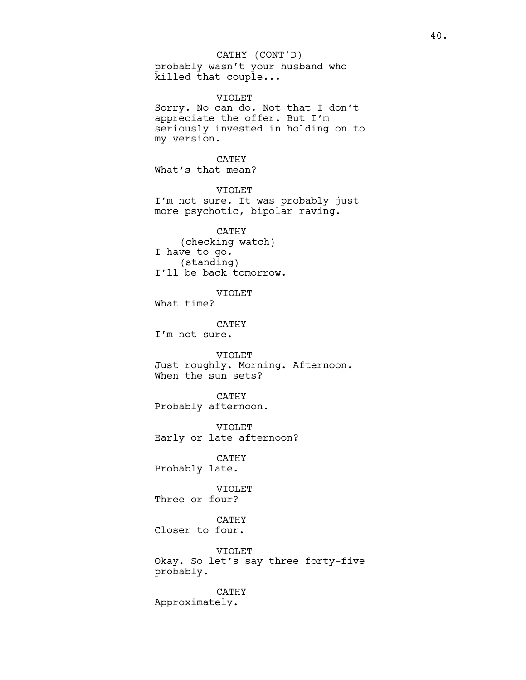probably wasn't your husband who killed that couple... CATHY (CONT'D)

VIOLET Sorry. No can do. Not that I don't appreciate the offer. But I'm seriously invested in holding on to my version. CATHY What's that mean? VIOLET I'm not sure. It was probably just more psychotic, bipolar raving. CATHY (checking watch) I have to go. (standing) I'll be back tomorrow. VIOLET What time? CATHY I'm not sure. VIOLET Just roughly. Morning. Afternoon. When the sun sets? CATHY Probably afternoon. VIOLET Early or late afternoon? CATHY Probably late. VIOLET Three or four? CATHY Closer to four. VIOLET

Okay. So let's say three forty-five probably.

CATHY Approximately.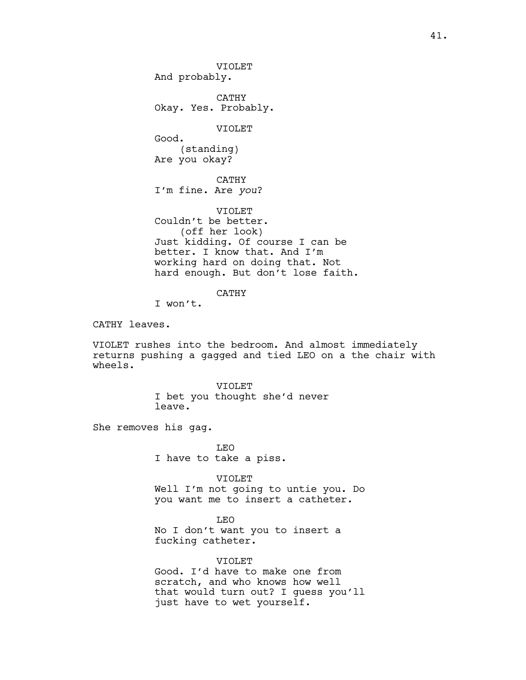VIOLET And probably. CATHY Okay. Yes. Probably. VIOLET Good. (standing) Are you okay? CATHY I'm fine. Are you? VIOLET Couldn't be better. (off her look) Just kidding. Of course I can be better. I know that. And I'm working hard on doing that. Not hard enough. But don't lose faith.

CATHY

I won't.

CATHY leaves.

VIOLET rushes into the bedroom. And almost immediately returns pushing a gagged and tied LEO on a the chair with wheels.

> VIOLET I bet you thought she'd never leave.

She removes his gag.

LEO I have to take a piss.

VIOLET Well I'm not going to untie you. Do you want me to insert a catheter.

LEO No I don't want you to insert a fucking catheter.

VIOLET Good. I'd have to make one from scratch, and who knows how well that would turn out? I guess you'll just have to wet yourself.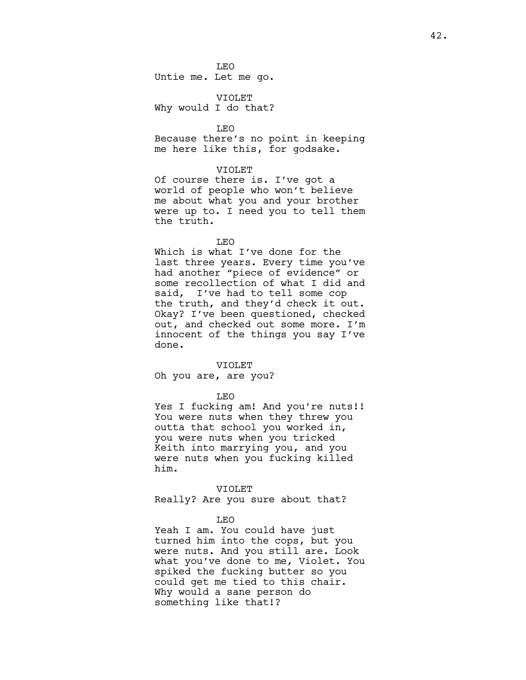LEO Untie me. Let me go.

VIOLET Why would I do that?

LEO Because there's no point in keeping me here like this, for godsake.

#### VIOLET

Of course there is. I've got a world of people who won't believe me about what you and your brother were up to. I need you to tell them the truth.

LEO

Which is what I've done for the last three years. Every time you've had another "piece of evidence" or some recollection of what I did and said, I've had to tell some cop the truth, and they'd check it out. Okay? I've been questioned, checked out, and checked out some more. I'm innocent of the things you say I've done.

#### VIOLET

Oh you are, are you?

#### LEO

Yes I fucking am! And you're nuts!! You were nuts when they threw you outta that school you worked in, you were nuts when you tricked Keith into marrying you, and you were nuts when you fucking killed him.

#### VIOLET

Really? Are you sure about that?

#### LEO

Yeah I am. You could have just turned him into the cops, but you were nuts. And you still are. Look what you've done to me, Violet. You spiked the fucking butter so you could get me tied to this chair. Why would a sane person do something like that!?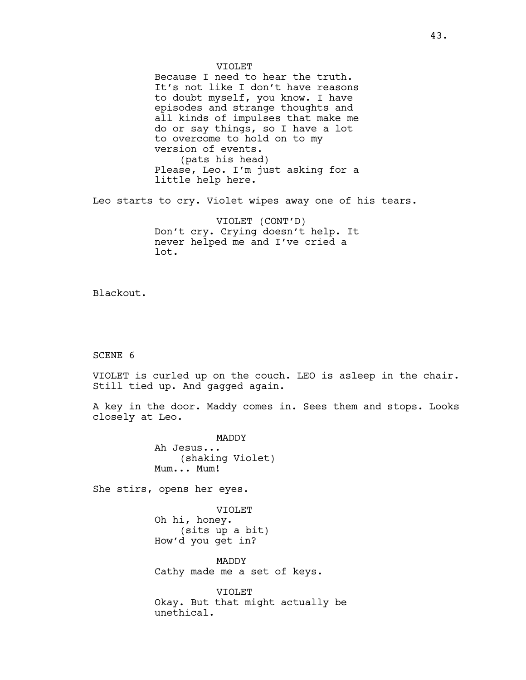VIOLET Because I need to hear the truth. It's not like I don't have reasons to doubt myself, you know. I have episodes and strange thoughts and all kinds of impulses that make me do or say things, so I have a lot to overcome to hold on to my version of events. (pats his head) Please, Leo. I'm just asking for a little help here.

Leo starts to cry. Violet wipes away one of his tears.

VIOLET (CONT'D) Don't cry. Crying doesn't help. It never helped me and I've cried a lot.

Blackout.

SCENE 6

VIOLET is curled up on the couch. LEO is asleep in the chair. Still tied up. And gagged again.

A key in the door. Maddy comes in. Sees them and stops. Looks closely at Leo.

> MADDY Ah Jesus... (shaking Violet) Mum... Mum!

She stirs, opens her eyes.

VIOLET Oh hi, honey. (sits up a bit) How'd you get in?

MADDY Cathy made me a set of keys.

VIOLET Okay. But that might actually be unethical.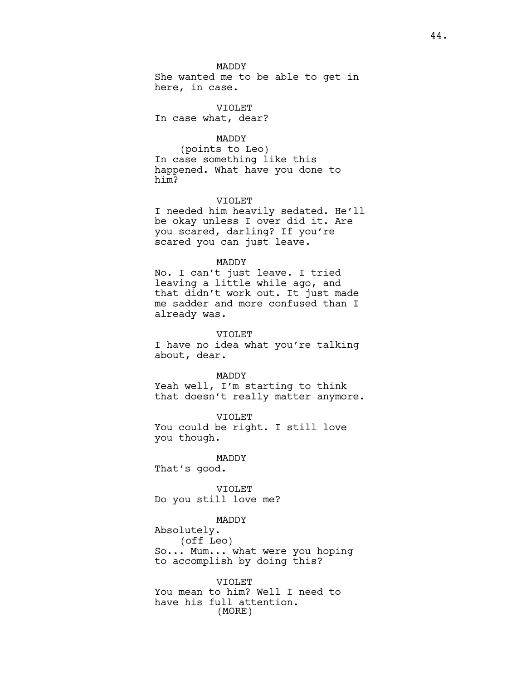She wanted me to be able to get in here, in case.

VIOLET In case what, dear?

# MADDY

(points to Leo) In case something like this happened. What have you done to him?

#### VIOLET

I needed him heavily sedated. He'll be okay unless I over did it. Are you scared, darling? If you're scared you can just leave.

## MADDY

No. I can't just leave. I tried leaving a little while ago, and that didn't work out. It just made me sadder and more confused than I already was.

#### VIOLET

I have no idea what you're talking about, dear.

#### MADDY

Yeah well, I'm starting to think that doesn't really matter anymore.

VIOLET You could be right. I still love you though.

# MADDY That's good.

VIOLET Do you still love me?

## MADDY

Absolutely.

(off Leo)

So... Mum... what were you hoping to accomplish by doing this?

# VIOLET You mean to him? Well I need to have his full attention. (MORE)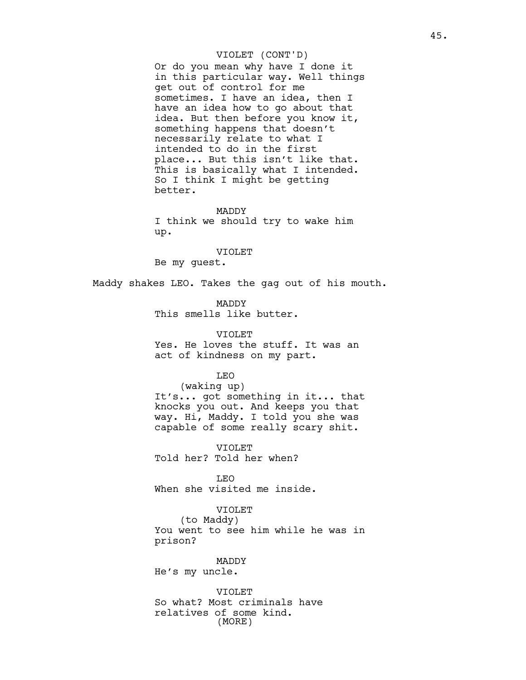Or do you mean why have I done it in this particular way. Well things get out of control for me sometimes. I have an idea, then I have an idea how to go about that idea. But then before you know it, something happens that doesn't necessarily relate to what I intended to do in the first place... But this isn't like that. This is basically what I intended. So I think I might be getting better.

MADDY

I think we should try to wake him up.

#### VIOLET

Be my guest.

Maddy shakes LEO. Takes the gag out of his mouth.

MADDY This smells like butter.

VIOLET Yes. He loves the stuff. It was an act of kindness on my part.

## LEO

(waking up) It's... got something in it... that knocks you out. And keeps you that way. Hi, Maddy. I told you she was capable of some really scary shit.

VIOLET Told her? Told her when?

LEO When she visited me inside.

## VIOLET

(to Maddy) You went to see him while he was in prison?

MADDY

He's my uncle.

VIOLET So what? Most criminals have relatives of some kind. (MORE)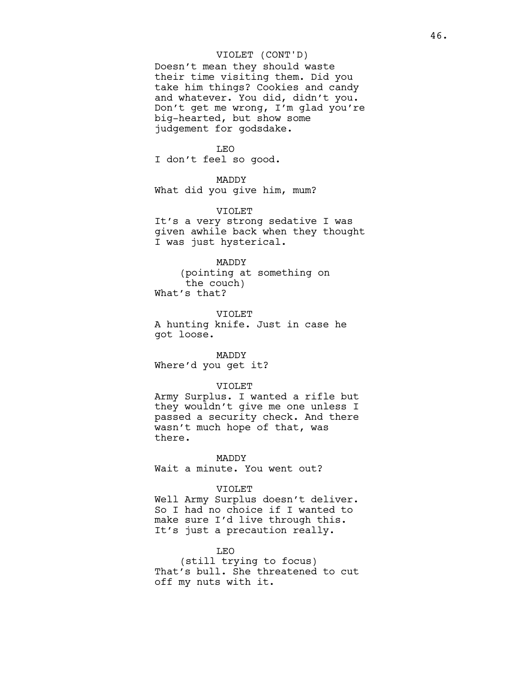Doesn't mean they should waste their time visiting them. Did you take him things? Cookies and candy and whatever. You did, didn't you. Don't get me wrong, I'm glad you're big-hearted, but show some judgement for godsdake.

#### LEO

I don't feel so good.

# MADDY

What did you give him, mum?

#### VIOLET

It's a very strong sedative I was given awhile back when they thought I was just hysterical.

# MADDY

(pointing at something on the couch) What's that?

VIOLET A hunting knife. Just in case he got loose.

#### MADDY

Where'd you get it?

## VIOLET

Army Surplus. I wanted a rifle but they wouldn't give me one unless I passed a security check. And there wasn't much hope of that, was there.

# MADDY

Wait a minute. You went out?

#### VIOLET

Well Army Surplus doesn't deliver. So I had no choice if I wanted to make sure I'd live through this. It's just a precaution really.

#### LEO

(still trying to focus) That's bull. She threatened to cut off my nuts with it.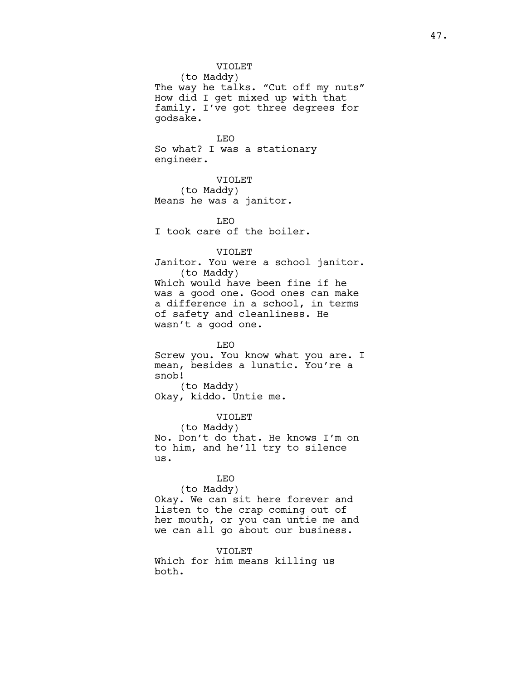## VIOLET

(to Maddy) The way he talks. "Cut off my nuts" How did I get mixed up with that family. I've got three degrees for godsake.

LEO So what? I was a stationary engineer.

VIOLET (to Maddy) Means he was a janitor.

LEO I took care of the boiler.

## VIOLET

Janitor. You were a school janitor. (to Maddy) Which would have been fine if he was a good one. Good ones can make a difference in a school, in terms of safety and cleanliness. He wasn't a good one.

LEO Screw you. You know what you are. I mean, besides a lunatic. You're a snob! (to Maddy) Okay, kiddo. Untie me.

VIOLET (to Maddy) No. Don't do that. He knows I'm on to him, and he'll try to silence us.

## LEO

(to Maddy) Okay. We can sit here forever and listen to the crap coming out of her mouth, or you can untie me and we can all go about our business.

VIOLET

Which for him means killing us both.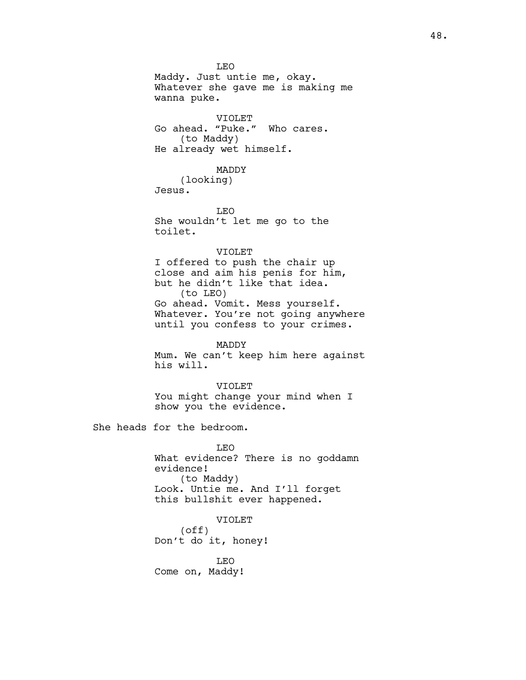LEO Maddy. Just untie me, okay. Whatever she gave me is making me wanna puke. VIOLET Go ahead. "Puke." Who cares. (to Maddy) He already wet himself. MADDY (looking) Jesus. LEO She wouldn't let me go to the toilet. VIOLET I offered to push the chair up close and aim his penis for him, but he didn't like that idea. (to LEO) Go ahead. Vomit. Mess yourself. Whatever. You're not going anywhere until you confess to your crimes. MADDY Mum. We can't keep him here against his will. VIOLET You might change your mind when I show you the evidence. She heads for the bedroom. LEO What evidence? There is no goddamn evidence! (to Maddy) Look. Untie me. And I'll forget this bullshit ever happened. VIOLET (off) Don't do it, honey! LEO

Come on, Maddy!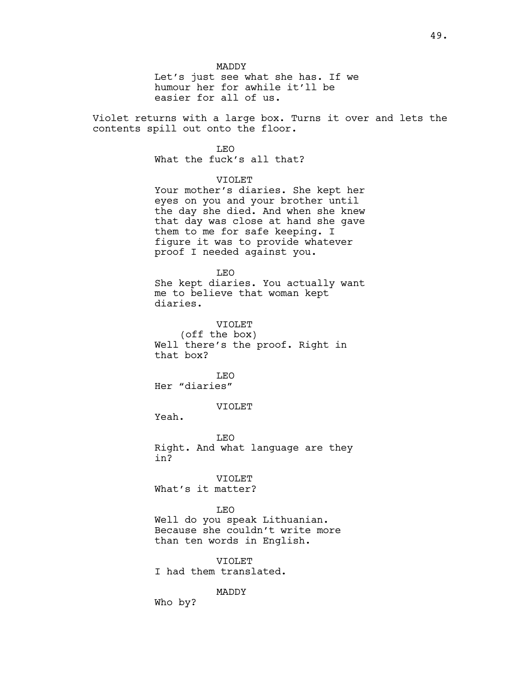MADDY Let's just see what she has. If we humour her for awhile it'll be easier for all of us.

Violet returns with a large box. Turns it over and lets the contents spill out onto the floor.

# LEO

What the fuck's all that?

# VIOLET

Your mother's diaries. She kept her eyes on you and your brother until the day she died. And when she knew that day was close at hand she gave them to me for safe keeping. I figure it was to provide whatever proof I needed against you.

#### LEO

She kept diaries. You actually want me to believe that woman kept diaries.

## VIOLET

(off the box) Well there's the proof. Right in that box?

LEO Her "diaries"

## VIOLET

Yeah.

LEO Right. And what language are they in?

VIOLET What's it matter?

#### LEO

Well do you speak Lithuanian. Because she couldn't write more than ten words in English.

VIOLET I had them translated.

#### MADDY

Who by?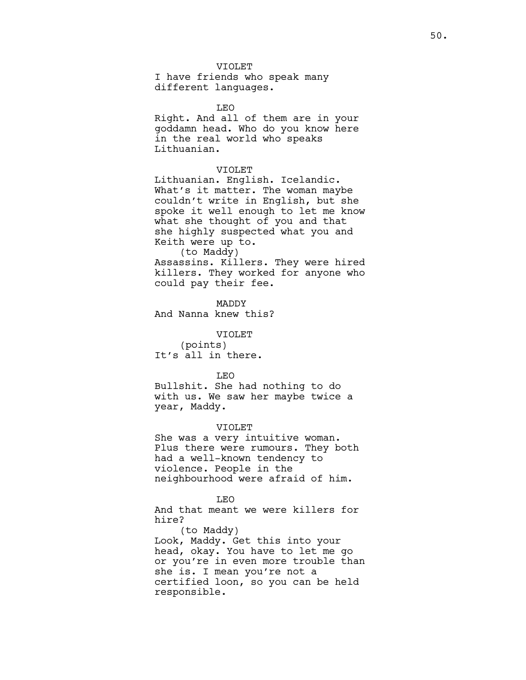## VIOLET

I have friends who speak many different languages.

LEO

Right. And all of them are in your goddamn head. Who do you know here in the real world who speaks Lithuanian.

#### VIOLET

Lithuanian. English. Icelandic. What's it matter. The woman maybe couldn't write in English, but she spoke it well enough to let me know what she thought of you and that she highly suspected what you and Keith were up to. (to Maddy)

Assassins. Killers. They were hired killers. They worked for anyone who could pay their fee.

MADDY And Nanna knew this?

VIOLET

(points) It's all in there.

#### LEO

Bullshit. She had nothing to do with us. We saw her maybe twice a year, Maddy.

#### VIOLET

She was a very intuitive woman. Plus there were rumours. They both had a well-known tendency to violence. People in the neighbourhood were afraid of him.

#### LEO

And that meant we were killers for hire?

(to Maddy) Look, Maddy. Get this into your head, okay. You have to let me go or you're in even more trouble than she is. I mean you're not a certified loon, so you can be held responsible.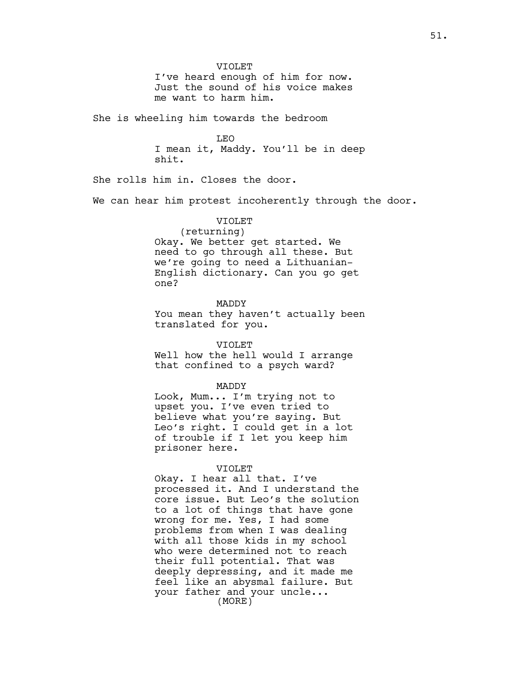VIOLET I've heard enough of him for now. Just the sound of his voice makes me want to harm him.

She is wheeling him towards the bedroom

LEO

I mean it, Maddy. You'll be in deep shit.

She rolls him in. Closes the door.

We can hear him protest incoherently through the door.

# VIOLET

(returning) Okay. We better get started. We need to go through all these. But we're going to need a Lithuanian-English dictionary. Can you go get one?

MADDY

You mean they haven't actually been translated for you.

VIOLET

Well how the hell would I arrange that confined to a psych ward?

MADDY

Look, Mum... I'm trying not to upset you. I've even tried to believe what you're saying. But Leo's right. I could get in a lot of trouble if I let you keep him prisoner here.

#### VIOLET

Okay. I hear all that. I've processed it. And I understand the core issue. But Leo's the solution to a lot of things that have gone wrong for me. Yes, I had some problems from when I was dealing with all those kids in my school who were determined not to reach their full potential. That was deeply depressing, and it made me feel like an abysmal failure. But your father and your uncle... (MORE)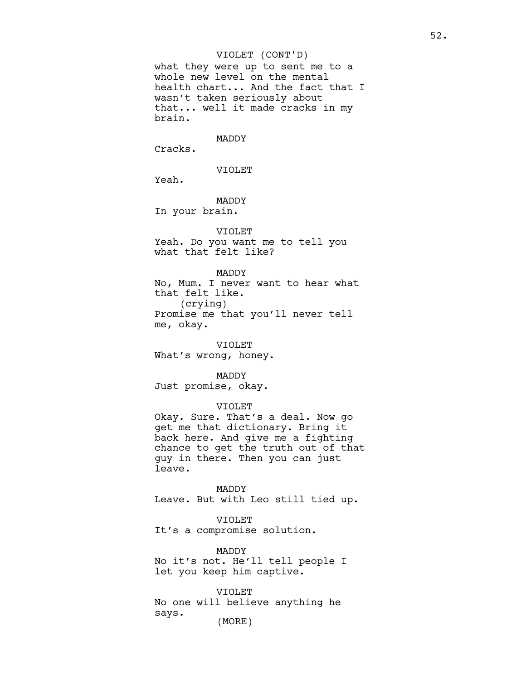what they were up to sent me to a whole new level on the mental health chart... And the fact that I wasn't taken seriously about that... well it made cracks in my brain.

## MADDY

Cracks.

VIOLET

Yeah.

MADDY In your brain.

# VIOLET

Yeah. Do you want me to tell you what that felt like?

MADDY

No, Mum. I never want to hear what that felt like. (crying) Promise me that you'll never tell me, okay.

VIOLET What's wrong, honey.

MADDY Just promise, okay.

## VIOLET

Okay. Sure. That's a deal. Now go get me that dictionary. Bring it back here. And give me a fighting chance to get the truth out of that guy in there. Then you can just leave.

MADDY Leave. But with Leo still tied up.

#### VIOLET

It's a compromise solution.

MADDY

No it's not. He'll tell people I let you keep him captive.

VIOLET No one will believe anything he says. (MORE)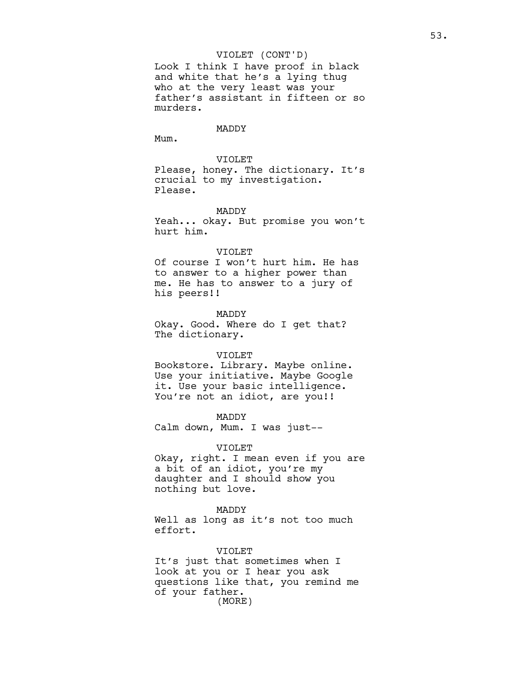Look I think I have proof in black and white that he's a lying thug who at the very least was your father's assistant in fifteen or so murders.

# MADDY

Mum.

VIOLET Please, honey. The dictionary. It's crucial to my investigation. Please.

#### MADDY

Yeah... okay. But promise you won't hurt him.

#### VIOLET

Of course I won't hurt him. He has to answer to a higher power than me. He has to answer to a jury of his peers!!

MADDY Okay. Good. Where do I get that? The dictionary.

#### VIOLET

Bookstore. Library. Maybe online. Use your initiative. Maybe Google it. Use your basic intelligence. You're not an idiot, are you!!

#### MADDY

Calm down, Mum. I was just--

### VIOLET

Okay, right. I mean even if you are a bit of an idiot, you're my daughter and I should show you nothing but love.

#### MADDY

Well as long as it's not too much effort.

#### VIOLET

It's just that sometimes when I look at you or I hear you ask questions like that, you remind me of your father. (MORE)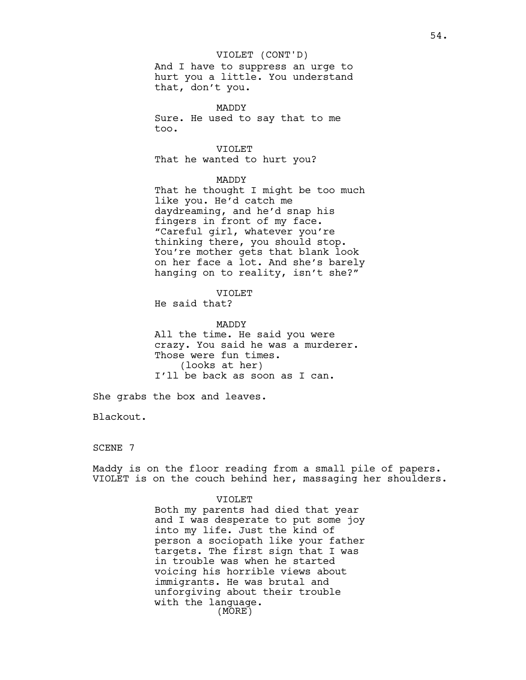And I have to suppress an urge to hurt you a little. You understand that, don't you.

MADDY Sure. He used to say that to me too.

VIOLET That he wanted to hurt you?

# MADDY

That he thought I might be too much like you. He'd catch me daydreaming, and he'd snap his fingers in front of my face. "Careful girl, whatever you're thinking there, you should stop. You're mother gets that blank look on her face a lot. And she's barely hanging on to reality, isn't she?"

# VIOLET

He said that?

MADDY All the time. He said you were crazy. You said he was a murderer. Those were fun times. (looks at her) I'll be back as soon as I can.

She grabs the box and leaves.

Blackout.

## SCENE 7

Maddy is on the floor reading from a small pile of papers. VIOLET is on the couch behind her, massaging her shoulders.

#### VIOLET

Both my parents had died that year and I was desperate to put some joy into my life. Just the kind of person a sociopath like your father targets. The first sign that I was in trouble was when he started voicing his horrible views about immigrants. He was brutal and unforgiving about their trouble with the language. (MORE)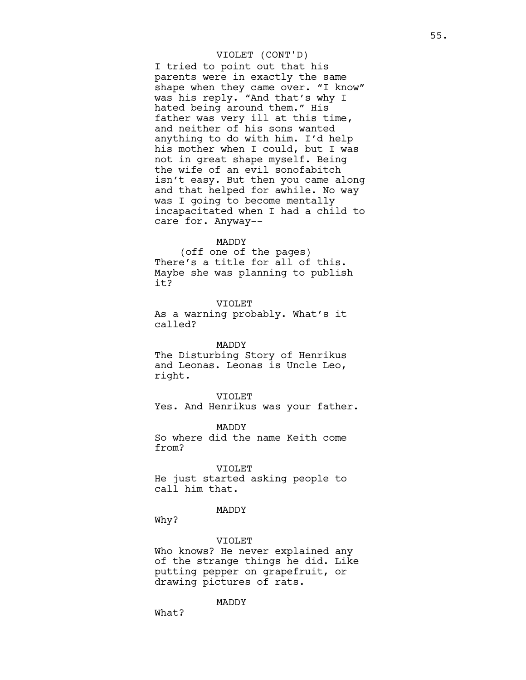I tried to point out that his parents were in exactly the same shape when they came over. "I know" was his reply. "And that's why I hated being around them." His father was very ill at this time, and neither of his sons wanted anything to do with him. I'd help his mother when I could, but I was not in great shape myself. Being the wife of an evil sonofabitch isn't easy. But then you came along and that helped for awhile. No way was I going to become mentally incapacitated when I had a child to care for. Anyway--

## MADDY

(off one of the pages) There's a title for all of this. Maybe she was planning to publish it?

VIOLET As a warning probably. What's it called?

MADDY

The Disturbing Story of Henrikus and Leonas. Leonas is Uncle Leo, right.

VIOLET

Yes. And Henrikus was your father.

MADDY So where did the name Keith come from?

### VIOLET

He just started asking people to call him that.

MADDY

Why?

#### VIOLET

Who knows? He never explained any of the strange things he did. Like putting pepper on grapefruit, or drawing pictures of rats.

MADDY

What?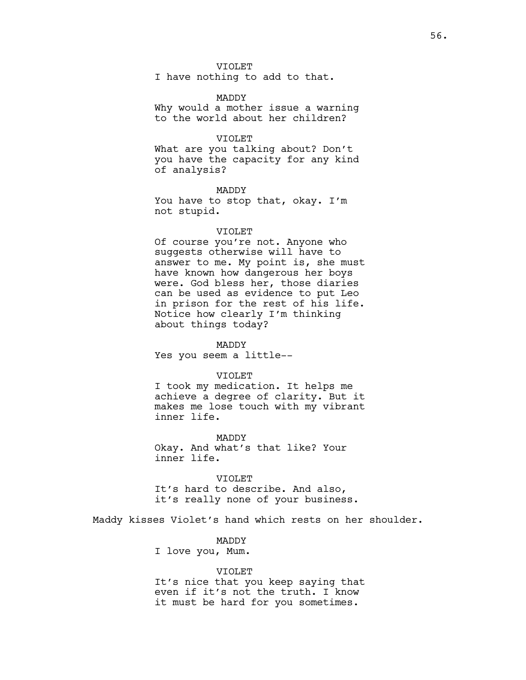## VIOLET

I have nothing to add to that.

#### MADDY

Why would a mother issue a warning to the world about her children?

## VIOLET

What are you talking about? Don't you have the capacity for any kind of analysis?

#### MADDY

You have to stop that, okay. I'm not stupid.

#### VIOLET

Of course you're not. Anyone who suggests otherwise will have to answer to me. My point is, she must have known how dangerous her boys were. God bless her, those diaries can be used as evidence to put Leo in prison for the rest of his life. Notice how clearly I'm thinking about things today?

MADDY Yes you seem a little--

## VIOLET

I took my medication. It helps me achieve a degree of clarity. But it makes me lose touch with my vibrant inner life.

MADDY Okay. And what's that like? Your inner life.

VIOLET It's hard to describe. And also, it's really none of your business.

Maddy kisses Violet's hand which rests on her shoulder.

# MADDY

I love you, Mum.

## VIOLET

It's nice that you keep saying that even if it's not the truth. I know it must be hard for you sometimes.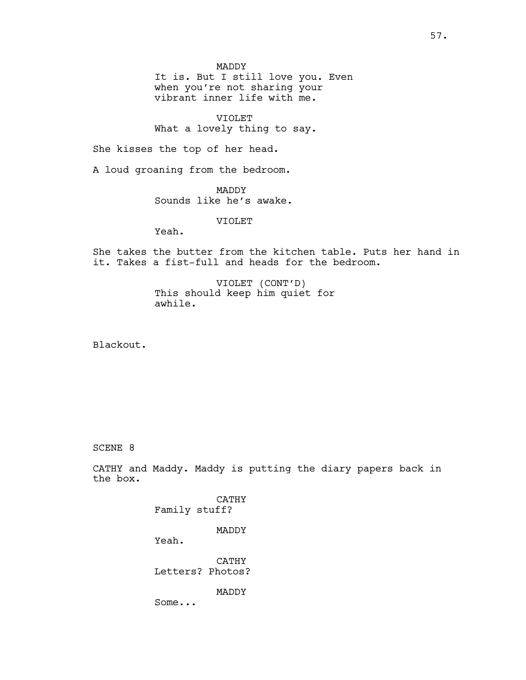MADDY

It is. But I still love you. Even when you're not sharing your vibrant inner life with me.

VIOLET What a lovely thing to say.

She kisses the top of her head.

A loud groaning from the bedroom.

MADDY Sounds like he's awake.

VIOLET

Yeah.

She takes the butter from the kitchen table. Puts her hand in it. Takes a fist-full and heads for the bedroom.

> VIOLET (CONT'D) This should keep him quiet for awhile.

Blackout.

# SCENE 8

CATHY and Maddy. Maddy is putting the diary papers back in the box.

> CATHY Family stuff?

> > MADDY

Yeah.

CATHY Letters? Photos?

MADDY

Some...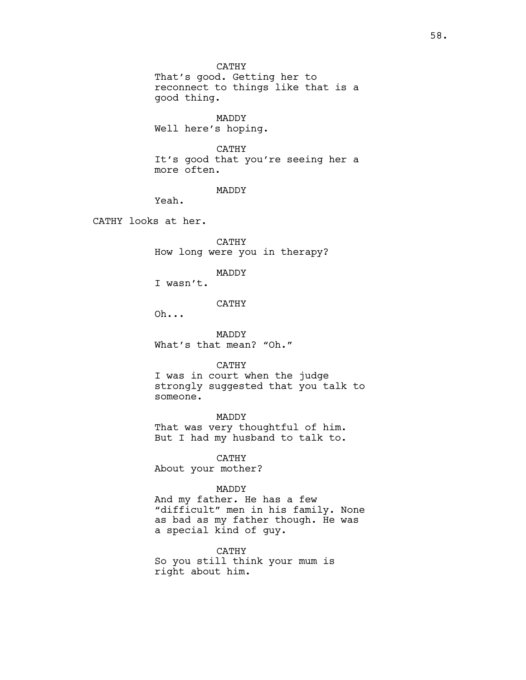CATHY That's good. Getting her to reconnect to things like that is a good thing.

MADDY Well here's hoping.

# CATHY

It's good that you're seeing her a more often.

MADDY

Yeah.

CATHY looks at her.

CATHY How long were you in therapy?

MADDY

I wasn't.

# CATHY

Oh...

MADDY What's that mean? "Oh."

## CATHY

I was in court when the judge strongly suggested that you talk to someone.

MADDY That was very thoughtful of him. But I had my husband to talk to.

CATHY About your mother?

# MADDY

And my father. He has a few "difficult" men in his family. None as bad as my father though. He was a special kind of guy.

CATHY

So you still think your mum is right about him.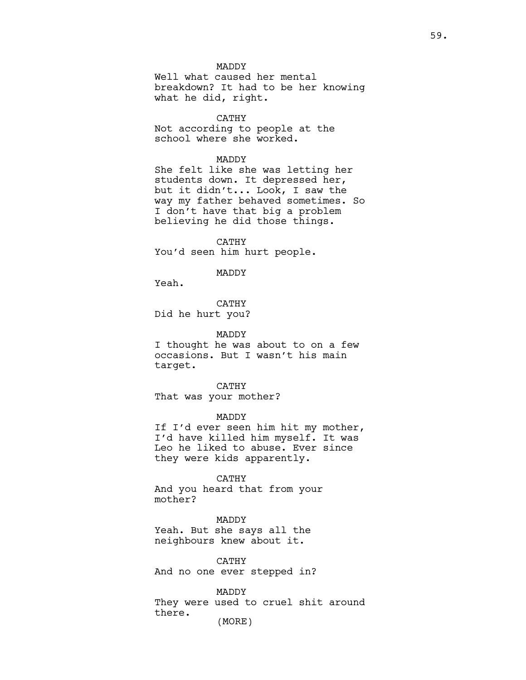MADDY

Well what caused her mental breakdown? It had to be her knowing what he did, right.

CATHY Not according to people at the school where she worked.

MADDY

She felt like she was letting her students down. It depressed her, but it didn't... Look, I saw the way my father behaved sometimes. So I don't have that big a problem believing he did those things.

CATHY You'd seen him hurt people.

MADDY

Yeah.

CATHY Did he hurt you?

MADDY I thought he was about to on a few occasions. But I wasn't his main target.

CATHY That was your mother?

MADDY If I'd ever seen him hit my mother, I'd have killed him myself. It was Leo he liked to abuse. Ever since they were kids apparently.

CATHY And you heard that from your mother?

MADDY Yeah. But she says all the neighbours knew about it.

CATHY And no one ever stepped in?

MADDY They were used to cruel shit around there. (MORE)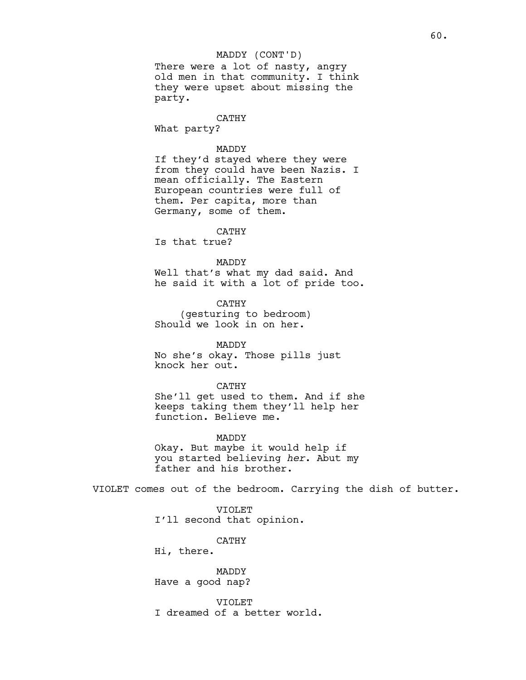## MADDY (CONT'D)

There were a lot of nasty, angry old men in that community. I think they were upset about missing the party.

# CATHY

What party?

## MADDY

If they'd stayed where they were from they could have been Nazis. I mean officially. The Eastern European countries were full of them. Per capita, more than Germany, some of them.

# CATHY

Is that true?

# MADDY

Well that's what my dad said. And he said it with a lot of pride too.

CATHY (gesturing to bedroom) Should we look in on her.

MADDY No she's okay. Those pills just knock her out.

CATHY She'll get used to them. And if she keeps taking them they'll help her function. Believe me.

MADDY Okay. But maybe it would help if you started believing her. Abut my father and his brother.

VIOLET comes out of the bedroom. Carrying the dish of butter.

VIOLET I'll second that opinion.

CATHY

Hi, there.

MADDY Have a good nap?

VIOLET I dreamed of a better world.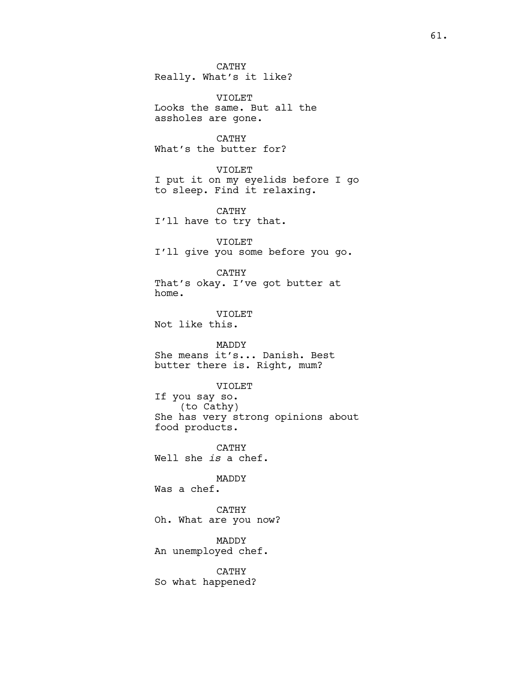CATHY Really. What's it like?

VIOLET Looks the same. But all the assholes are gone.

CATHY What's the butter for?

VIOLET I put it on my eyelids before I go to sleep. Find it relaxing.

CATHY I'll have to try that.

VIOLET I'll give you some before you go.

CATHY That's okay. I've got butter at home.

VIOLET Not like this.

MADDY She means it's... Danish. Best butter there is. Right, mum?

VIOLET

If you say so. (to Cathy) She has very strong opinions about food products.

CATHY Well she is a chef.

MADDY Was a chef.

CATHY Oh. What are you now?

MADDY An unemployed chef.

CATHY

So what happened?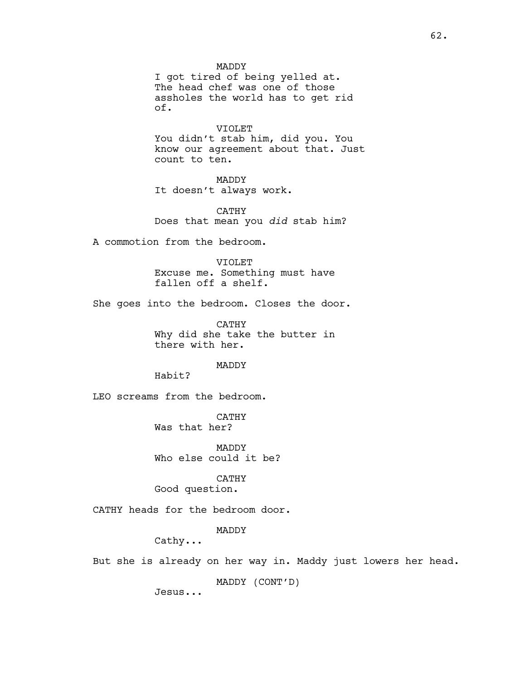MADDY

I got tired of being yelled at. The head chef was one of those assholes the world has to get rid of.

VIOLET

You didn't stab him, did you. You know our agreement about that. Just count to ten.

MADDY

It doesn't always work.

CATHY Does that mean you did stab him?

A commotion from the bedroom.

VIOLET Excuse me. Something must have fallen off a shelf.

She goes into the bedroom. Closes the door.

CATHY Why did she take the butter in there with her.

MADDY

Habit?

LEO screams from the bedroom.

CATHY Was that her?

MADDY Who else could it be?

CATHY

Good question.

CATHY heads for the bedroom door.

MADDY

Cathy...

But she is already on her way in. Maddy just lowers her head.

MADDY (CONT'D)

Jesus...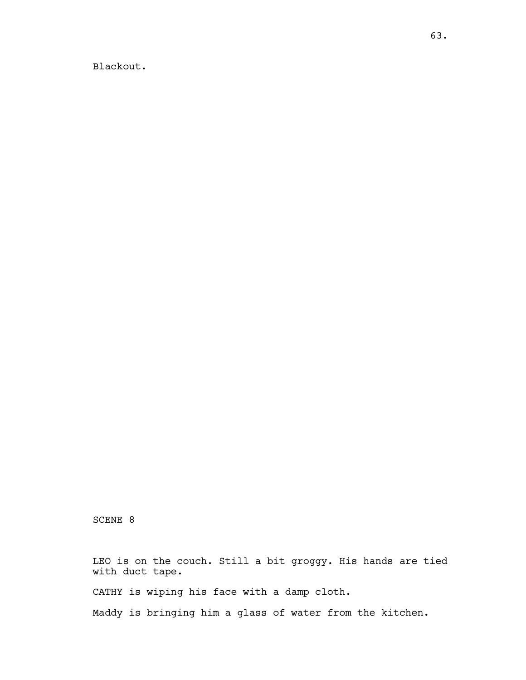Blackout.

SCENE 8

LEO is on the couch. Still a bit groggy. His hands are tied with duct tape. CATHY is wiping his face with a damp cloth.

Maddy is bringing him a glass of water from the kitchen.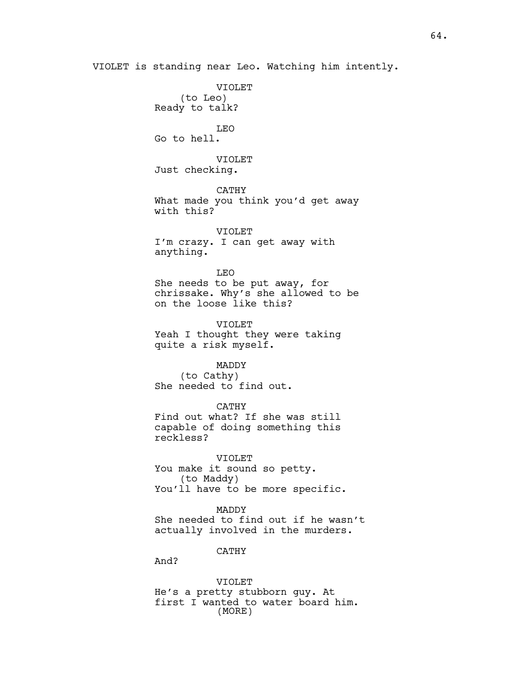VIOLET is standing near Leo. Watching him intently. VIOLET (to Leo) Ready to talk? LEO Go to hell. VIOLET Just checking. CATHY What made you think you'd get away with this? VIOLET I'm crazy. I can get away with anything. LEO She needs to be put away, for chrissake. Why's she allowed to be on the loose like this? VIOLET Yeah I thought they were taking quite a risk myself. MADDY (to Cathy) She needed to find out. CATHY Find out what? If she was still capable of doing something this reckless? VIOLET You make it sound so petty. (to Maddy) You'll have to be more specific. MADDY She needed to find out if he wasn't actually involved in the murders. CATHY And? VIOLET He's a pretty stubborn guy. At

first I wanted to water board him. (MORE)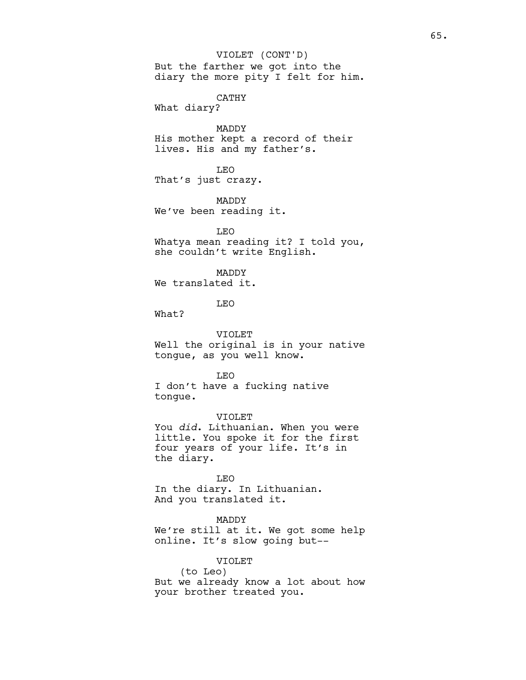But the farther we got into the diary the more pity I felt for him. VIOLET (CONT'D)

CATHY What diary?

MADDY His mother kept a record of their lives. His and my father's.

LEO That's just crazy.

MADDY We've been reading it.

LEO Whatya mean reading it? I told you, she couldn't write English.

MADDY We translated it.

LEO

What?

VIOLET Well the original is in your native tongue, as you well know.

LEO

I don't have a fucking native tongue.

VIOLET You did. Lithuanian. When you were little. You spoke it for the first four years of your life. It's in the diary.

LEO In the diary. In Lithuanian. And you translated it.

MADDY We're still at it. We got some help online. It's slow going but--

VIOLET (to Leo) But we already know a lot about how your brother treated you.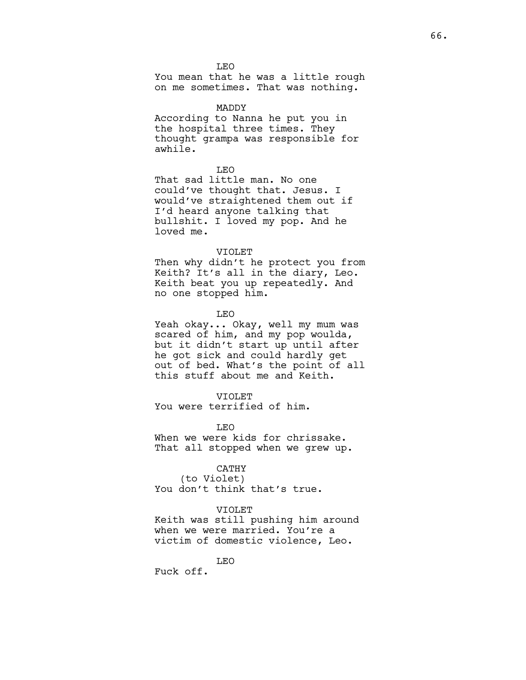LEO You mean that he was a little rough on me sometimes. That was nothing.

## MADDY

According to Nanna he put you in the hospital three times. They thought grampa was responsible for awhile.

## LEO

That sad little man. No one could've thought that. Jesus. I would've straightened them out if I'd heard anyone talking that bullshit. I loved my pop. And he loved me.

#### VIOLET

Then why didn't he protect you from Keith? It's all in the diary, Leo. Keith beat you up repeatedly. And no one stopped him.

LEO

Yeah okay... Okay, well my mum was scared of him, and my pop woulda, but it didn't start up until after he got sick and could hardly get out of bed. What's the point of all this stuff about me and Keith.

## VIOLET

You were terrified of him.

LEO When we were kids for chrissake. That all stopped when we grew up.

# CATHY

(to Violet) You don't think that's true.

## VIOLET

Keith was still pushing him around when we were married. You're a victim of domestic violence, Leo.

LEO

Fuck off.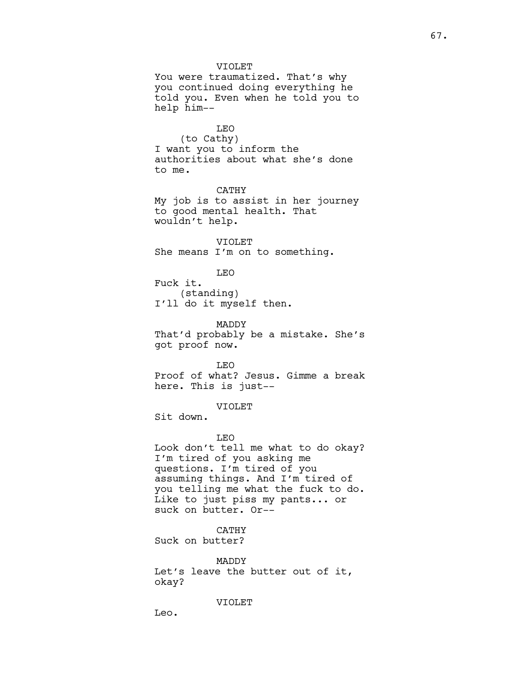VIOLET You were traumatized. That's why you continued doing everything he told you. Even when he told you to help him-- LEO (to Cathy) I want you to inform the authorities about what she's done to me. CATHY My job is to assist in her journey to good mental health. That wouldn't help. VIOLET She means I'm on to something. LEO Fuck it. (standing) I'll do it myself then. MADDY That'd probably be a mistake. She's got proof now. LEO Proof of what? Jesus. Gimme a break here. This is just-- VIOLET Sit down. LEO Look don't tell me what to do okay? I'm tired of you asking me questions. I'm tired of you assuming things. And I'm tired of you telling me what the fuck to do. Like to just piss my pants... or suck on butter. Or-- CATHY Suck on butter?

MADDY Let's leave the butter out of it, okay?

VIOLET

Leo.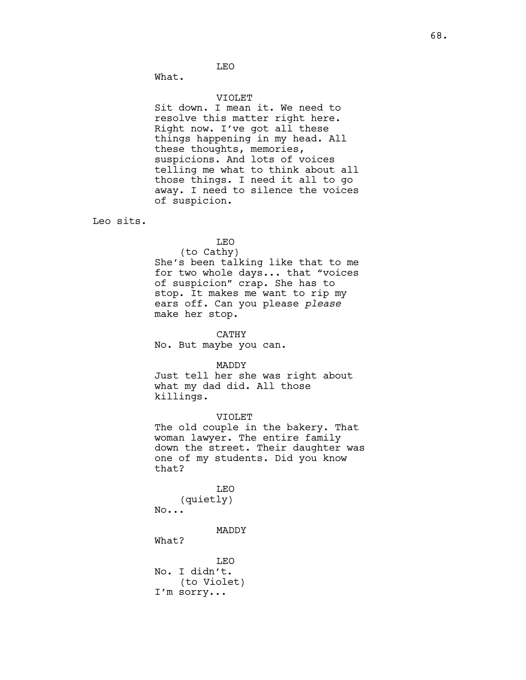LEO

What.

#### VIOLET

Sit down. I mean it. We need to resolve this matter right here. Right now. I've got all these things happening in my head. All these thoughts, memories, suspicions. And lots of voices telling me what to think about all those things. I need it all to go away. I need to silence the voices of suspicion.

Leo sits.

# LEO

(to Cathy) She's been talking like that to me for two whole days... that "voices of suspicion" crap. She has to stop. It makes me want to rip my ears off. Can you please please make her stop.

CATHY

No. But maybe you can.

MADDY

Just tell her she was right about what my dad did. All those killings.

VIOLET The old couple in the bakery. That woman lawyer. The entire family down the street. Their daughter was one of my students. Did you know that?

LEO (quietly) No...

MADDY

What?

LEO No. I didn't. (to Violet) I'm sorry...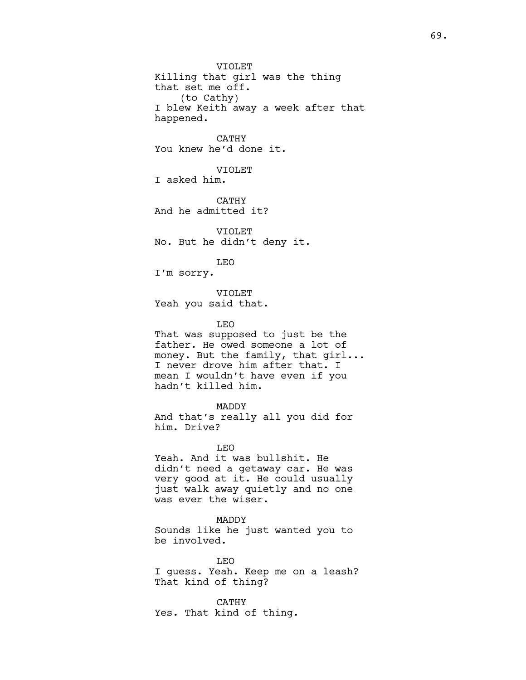VIOLET Killing that girl was the thing that set me off. (to Cathy) I blew Keith away a week after that happened.

CATHY You knew he'd done it.

VIOLET I asked him.

CATHY And he admitted it?

VIOLET No. But he didn't deny it.

LEO I'm sorry.

VIOLET Yeah you said that.

LEO

That was supposed to just be the father. He owed someone a lot of money. But the family, that girl... I never drove him after that. I mean I wouldn't have even if you hadn't killed him.

MADDY And that's really all you did for him. Drive?

LEO Yeah. And it was bullshit. He didn't need a getaway car. He was very good at it. He could usually just walk away quietly and no one was ever the wiser.

MADDY Sounds like he just wanted you to be involved.

LEO I guess. Yeah. Keep me on a leash? That kind of thing?

CATHY Yes. That kind of thing.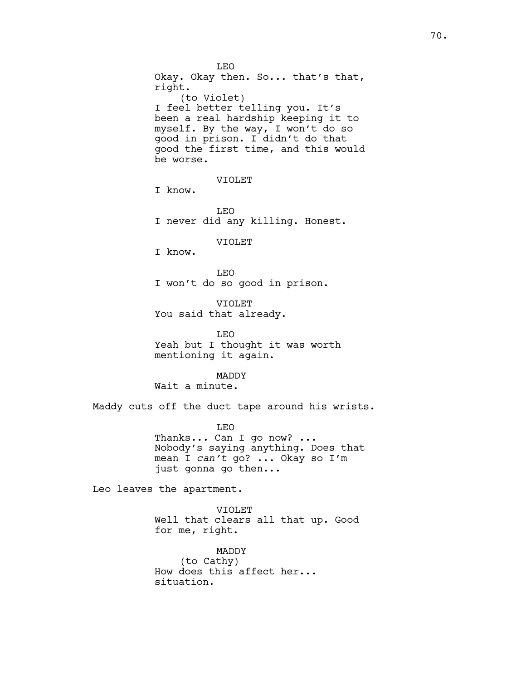LEO Okay. Okay then. So... that's that, right. (to Violet) I feel better telling you. It's been a real hardship keeping it to myself. By the way, I won't do so good in prison. I didn't do that good the first time, and this would be worse. VIOLET I know. LEO I never did any killing. Honest. VIOLET I know. LEO I won't do so good in prison. VIOLET You said that already. LEO Yeah but I thought it was worth mentioning it again. MADDY Wait a minute. Maddy cuts off the duct tape around his wrists. LEO Thanks... Can I go now? ... Nobody's saying anything. Does that mean I can't go? ... Okay so I'm just gonna go then...

Leo leaves the apartment.

VIOLET Well that clears all that up. Good for me, right.

MADDY (to Cathy) How does this affect her... situation.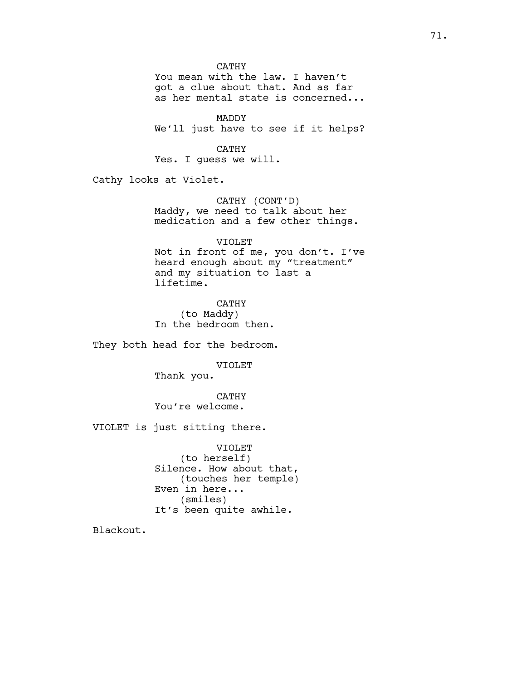CATHY

You mean with the law. I haven't got a clue about that. And as far as her mental state is concerned...

MADDY We'll just have to see if it helps?

CATHY Yes. I guess we will.

Cathy looks at Violet.

CATHY (CONT'D) Maddy, we need to talk about her medication and a few other things.

VIOLET

Not in front of me, you don't. I've heard enough about my "treatment" and my situation to last a lifetime.

CATHY (to Maddy) In the bedroom then.

They both head for the bedroom.

VIOLET

Thank you.

CATHY You're welcome.

VIOLET is just sitting there.

VIOLET (to herself) Silence. How about that, (touches her temple) Even in here... (smiles) It's been quite awhile.

Blackout.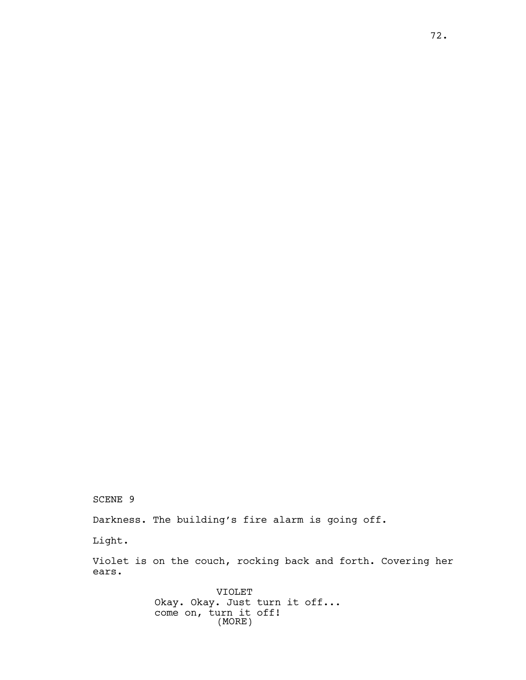SCENE 9

Darkness. The building's fire alarm is going off.

Light.

Violet is on the couch, rocking back and forth. Covering her ears.

> VIOLET Okay. Okay. Just turn it off... come on, turn it off! (MORE)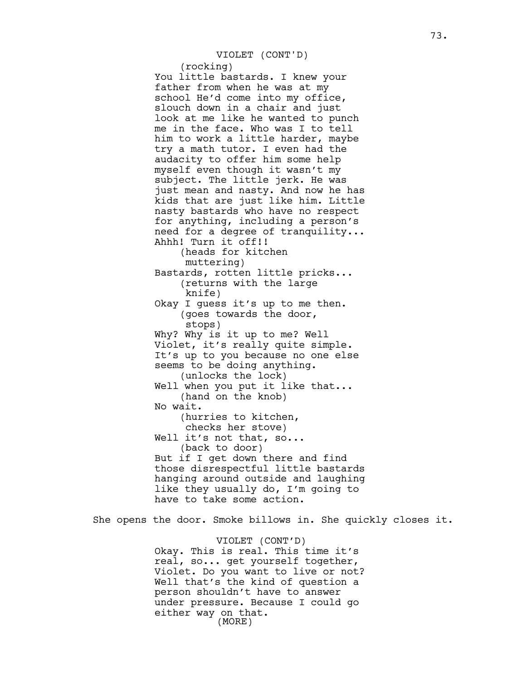(rocking)

You little bastards. I knew your father from when he was at my school He'd come into my office, slouch down in a chair and just look at me like he wanted to punch me in the face. Who was I to tell him to work a little harder, maybe try a math tutor. I even had the audacity to offer him some help myself even though it wasn't my subject. The little jerk. He was just mean and nasty. And now he has kids that are just like him. Little nasty bastards who have no respect for anything, including a person's need for a degree of tranquility... Ahhh! Turn it off!! (heads for kitchen muttering) Bastards, rotten little pricks... (returns with the large knife) Okay I guess it's up to me then. (goes towards the door, stops) Why? Why is it up to me? Well Violet, it's really quite simple. It's up to you because no one else seems to be doing anything. (unlocks the lock) Well when you put it like that... (hand on the knob) No wait. (hurries to kitchen, checks her stove) Well it's not that, so... (back to door) But if I get down there and find those disrespectful little bastards hanging around outside and laughing like they usually do, I'm going to have to take some action.

She opens the door. Smoke billows in. She quickly closes it.

VIOLET (CONT'D) Okay. This is real. This time it's real, so... get yourself together, Violet. Do you want to live or not? Well that's the kind of question a person shouldn't have to answer under pressure. Because I could go either way on that. (MORE)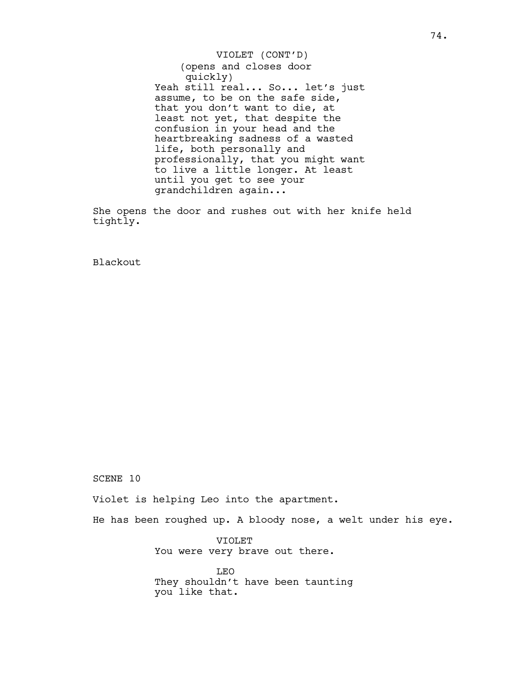(opens and closes door quickly) Yeah still real... So... let's just assume, to be on the safe side, that you don't want to die, at least not yet, that despite the confusion in your head and the heartbreaking sadness of a wasted life, both personally and professionally, that you might want to live a little longer. At least until you get to see your grandchildren again... VIOLET (CONT'D)

She opens the door and rushes out with her knife held tightly.

Blackout

SCENE 10

Violet is helping Leo into the apartment.

He has been roughed up. A bloody nose, a welt under his eye.

VIOLET You were very brave out there.

LEO They shouldn't have been taunting you like that.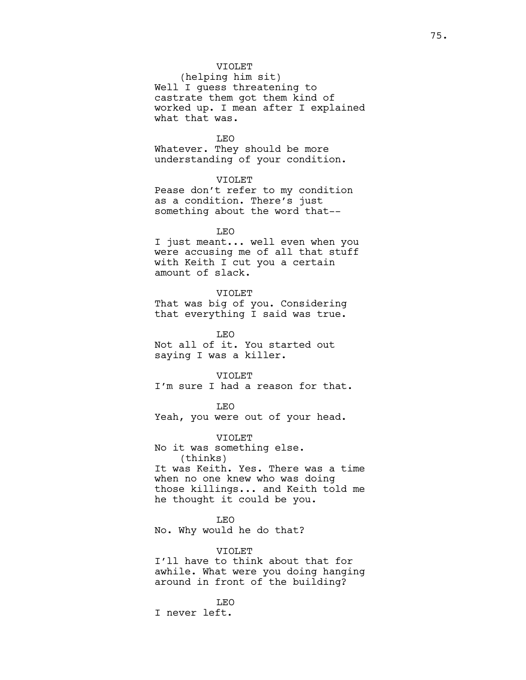## VIOLET

(helping him sit) Well I guess threatening to castrate them got them kind of worked up. I mean after I explained what that was.

LEO Whatever. They should be more understanding of your condition.

VIOLET Pease don't refer to my condition as a condition. There's just something about the word that--

LEO

I just meant... well even when you were accusing me of all that stuff with Keith I cut you a certain amount of slack.

VIOLET

That was big of you. Considering that everything I said was true.

LEO Not all of it. You started out saying I was a killer.

VIOLET

I'm sure I had a reason for that.

LEO Yeah, you were out of your head.

VIOLET No it was something else. (thinks) It was Keith. Yes. There was a time when no one knew who was doing those killings... and Keith told me he thought it could be you.

LEO

No. Why would he do that?

### VIOLET

I'll have to think about that for awhile. What were you doing hanging around in front of the building?

LEO I never left.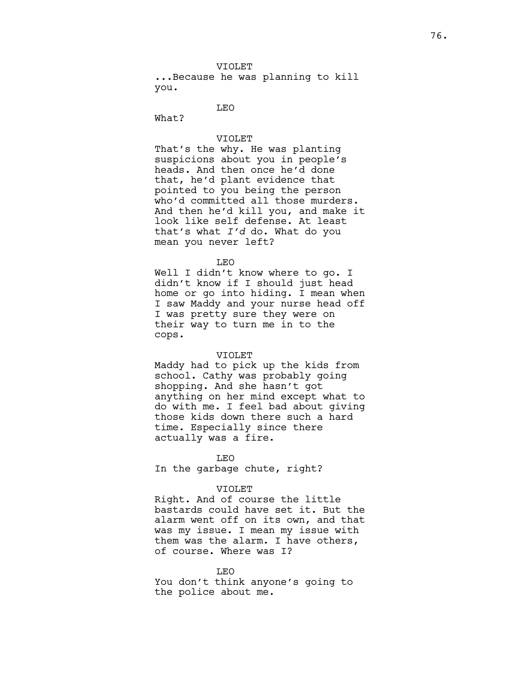...Because he was planning to kill you.

LEO

What?

## VIOLET

That's the why. He was planting suspicions about you in people's heads. And then once he'd done that, he'd plant evidence that pointed to you being the person who'd committed all those murders. And then he'd kill you, and make it look like self defense. At least that's what  $I'd$  do. What do you mean you never left?

LEO

Well I didn't know where to go. I didn't know if I should just head home or go into hiding. I mean when I saw Maddy and your nurse head off I was pretty sure they were on their way to turn me in to the cops.

#### VIOLET

Maddy had to pick up the kids from school. Cathy was probably going shopping. And she hasn't got anything on her mind except what to do with me. I feel bad about giving those kids down there such a hard time. Especially since there actually was a fire.

LEO

In the garbage chute, right?

### VIOLET

Right. And of course the little bastards could have set it. But the alarm went off on its own, and that was my issue. I mean my issue with them was the alarm. I have others, of course. Where was I?

LEO You don't think anyone's going to the police about me.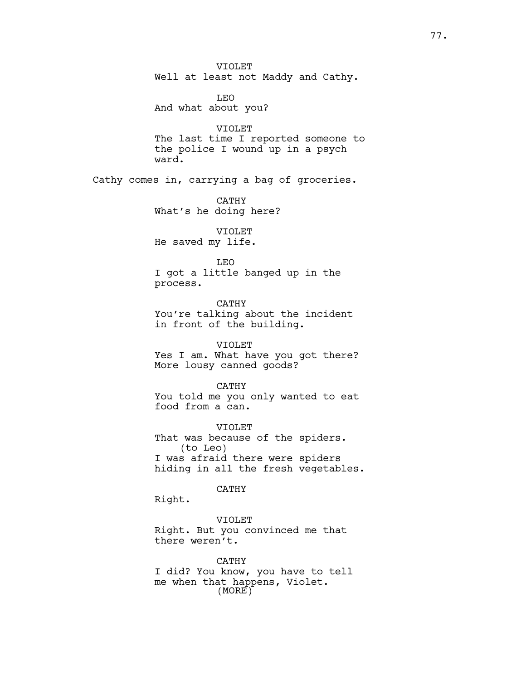VIOLET Well at least not Maddy and Cathy.

LEO And what about you?

VIOLET The last time I reported someone to the police I wound up in a psych ward.

Cathy comes in, carrying a bag of groceries.

CATHY What's he doing here?

VIOLET He saved my life.

LEO

I got a little banged up in the process.

CATHY You're talking about the incident in front of the building.

VIOLET Yes I am. What have you got there? More lousy canned goods?

CATHY You told me you only wanted to eat food from a can.

VIOLET That was because of the spiders. (to Leo) I was afraid there were spiders hiding in all the fresh vegetables.

CATHY

Right.

VIOLET Right. But you convinced me that there weren't.

CATHY I did? You know, you have to tell me when that happens, Violet. (MORE)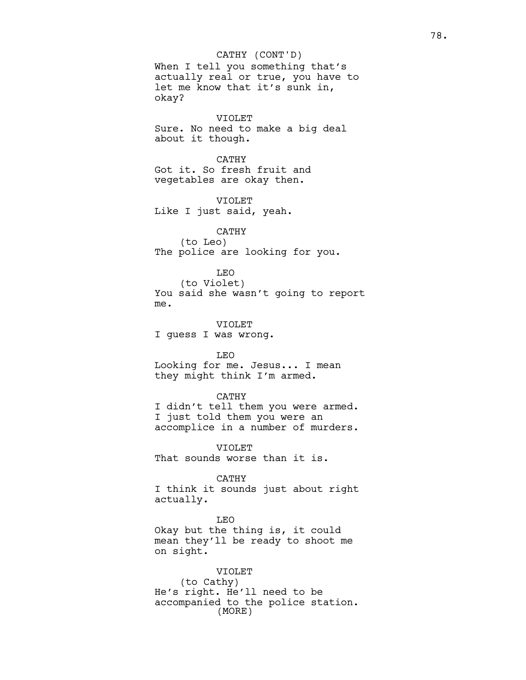When I tell you something that's actually real or true, you have to let me know that it's sunk in, okay? CATHY (CONT'D)

VIOLET Sure. No need to make a big deal about it though.

CATHY Got it. So fresh fruit and vegetables are okay then.

VIOLET Like I just said, yeah.

## CATHY

(to Leo) The police are looking for you.

# LEO

(to Violet) You said she wasn't going to report me.

VIOLET I guess I was wrong.

LEO Looking for me. Jesus... I mean they might think I'm armed.

### CATHY

I didn't tell them you were armed. I just told them you were an accomplice in a number of murders.

VIOLET That sounds worse than it is.

CATHY

I think it sounds just about right actually.

LEO

Okay but the thing is, it could mean they'll be ready to shoot me on sight.

VIOLET (to Cathy) He's right. He'll need to be accompanied to the police station. (MORE)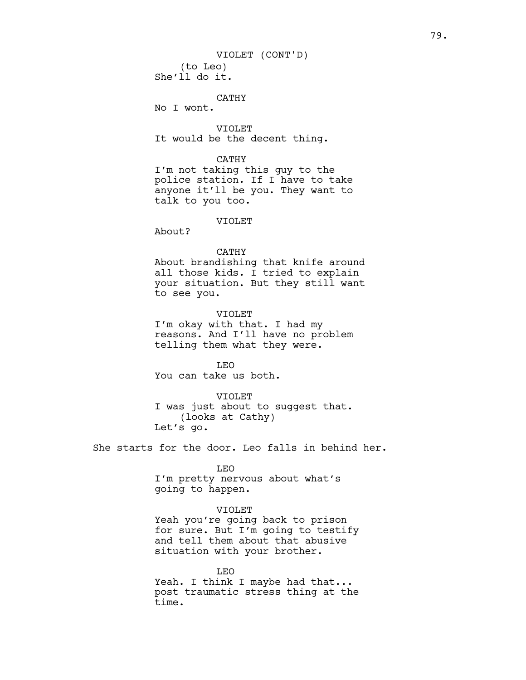(to Leo) She'll do it. VIOLET (CONT'D)

CATHY

No I wont.

VIOLET It would be the decent thing.

CATHY

I'm not taking this guy to the police station. If I have to take anyone it'll be you. They want to talk to you too.

VIOLET

About?

#### CATHY

About brandishing that knife around all those kids. I tried to explain your situation. But they still want to see you.

VIOLET I'm okay with that. I had my reasons. And I'll have no problem telling them what they were.

LEO You can take us both.

VIOLET

I was just about to suggest that. (looks at Cathy) Let's go.

She starts for the door. Leo falls in behind her.

LEO

I'm pretty nervous about what's going to happen.

### VIOLET

Yeah you're going back to prison for sure. But I'm going to testify and tell them about that abusive situation with your brother.

LEO Yeah. I think I maybe had that... post traumatic stress thing at the time.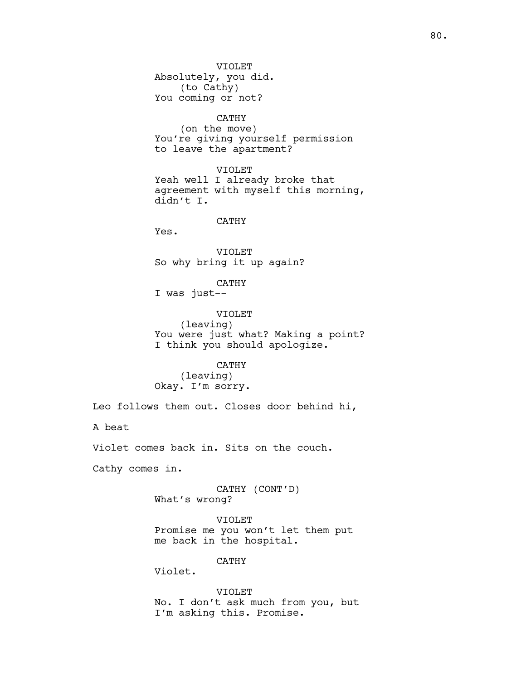VIOLET Absolutely, you did. (to Cathy) You coming or not? CATHY (on the move) You're giving yourself permission to leave the apartment? VIOLET Yeah well I already broke that agreement with myself this morning, didn't I. CATHY Yes. VIOLET So why bring it up again? CATHY I was just-- VIOLET (leaving) You were just what? Making a point? I think you should apologize. CATHY (leaving) Okay. I'm sorry. Leo follows them out. Closes door behind hi, A beat Violet comes back in. Sits on the couch. Cathy comes in. CATHY (CONT'D) What's wrong? VIOLET Promise me you won't let them put me back in the hospital. CATHY Violet. VIOLET No. I don't ask much from you, but I'm asking this. Promise.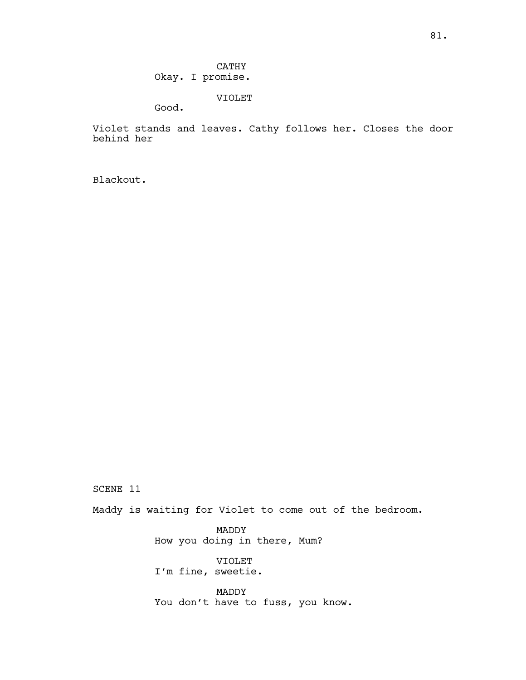CATHY Okay. I promise.

VIOLET

Good.

Violet stands and leaves. Cathy follows her. Closes the door behind her

Blackout.

SCENE 11

Maddy is waiting for Violet to come out of the bedroom.

MADDY How you doing in there, Mum?

VIOLET I'm fine, sweetie.

MADDY You don't have to fuss, you know.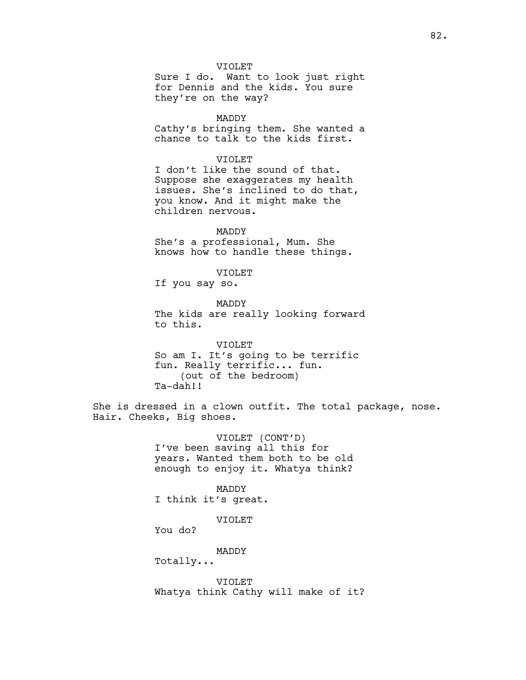VIOLET Sure I do. Want to look just right for Dennis and the kids. You sure they're on the way?

MADDY Cathy's bringing them. She wanted a chance to talk to the kids first.

VIOLET I don't like the sound of that. Suppose she exaggerates my health issues. She's inclined to do that, you know. And it might make the children nervous.

MADDY She's a professional, Mum. She knows how to handle these things.

VIOLET

If you say so.

MADDY The kids are really looking forward to this.

VIOLET So am I. It's going to be terrific fun. Really terrific... fun. (out of the bedroom) Ta-dah!!

She is dressed in a clown outfit. The total package, nose. Hair. Cheeks, Big shoes.

> VIOLET (CONT'D) I've been saving all this for years. Wanted them both to be old enough to enjoy it. Whatya think?

MADDY I think it's great.

VIOLET

You do?

MADDY

Totally...

VIOLET Whatya think Cathy will make of it?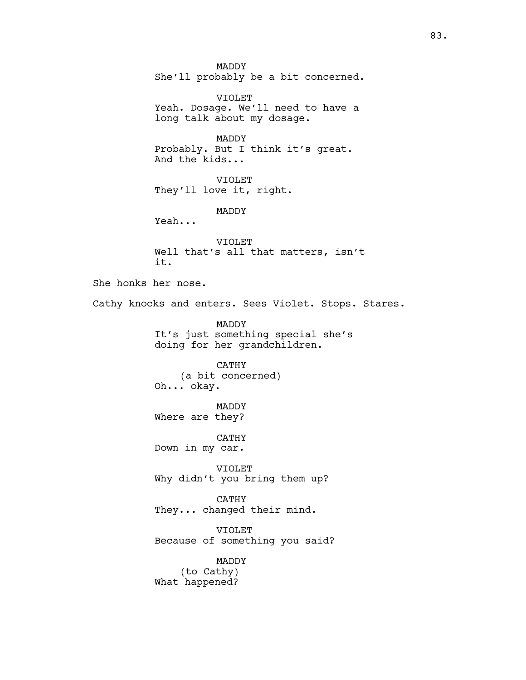MADDY She'll probably be a bit concerned. VIOLET Yeah. Dosage. We'll need to have a long talk about my dosage. MADDY Probably. But I think it's great. And the kids... VIOLET They'll love it, right. MADDY Yeah... VIOLET Well that's all that matters, isn't it. She honks her nose. Cathy knocks and enters. Sees Violet. Stops. Stares. MADDY It's just something special she's doing for her grandchildren. CATHY (a bit concerned) Oh... okay. MADDY Where are they? CATHY Down in my car. VIOLET Why didn't you bring them up? CATHY They... changed their mind. VIOLET Because of something you said? MADDY (to Cathy) What happened?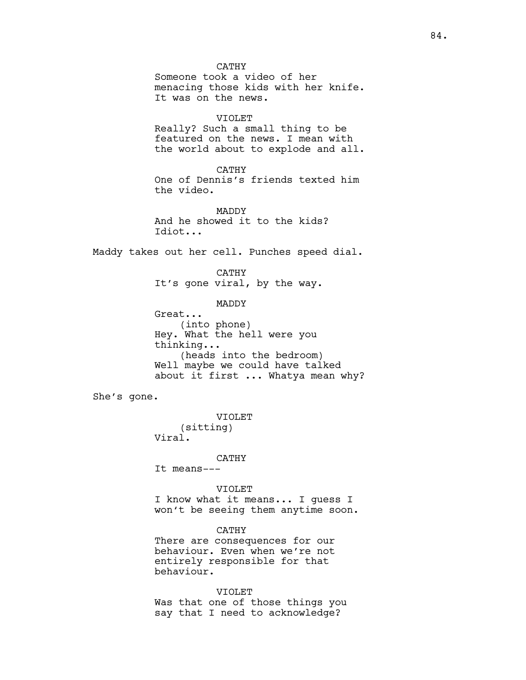CATHY Someone took a video of her menacing those kids with her knife. It was on the news. VIOLET Really? Such a small thing to be featured on the news. I mean with the world about to explode and all.

CATHY One of Dennis's friends texted him the video.

MADDY And he showed it to the kids? Idiot...

Maddy takes out her cell. Punches speed dial.

# CATHY It's gone viral, by the way.

## MADDY

Great... (into phone) Hey. What the hell were you thinking... (heads into the bedroom) Well maybe we could have talked about it first ... Whatya mean why?

She's gone.

VIOLET (sitting) Viral.

## CATHY

It means---

## VIOLET

I know what it means... I guess I won't be seeing them anytime soon.

# CATHY

There are consequences for our behaviour. Even when we're not entirely responsible for that behaviour.

VIOLET Was that one of those things you say that I need to acknowledge?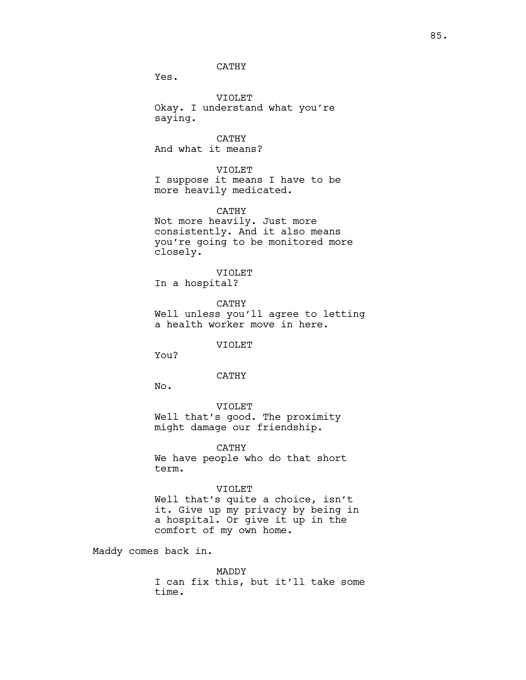# CATHY

Yes.

VIOLET Okay. I understand what you're saying.

CATHY And what it means?

VIOLET I suppose it means I have to be more heavily medicated.

CATHY Not more heavily. Just more consistently. And it also means you're going to be monitored more closely.

VIOLET In a hospital?

CATHY Well unless you'll agree to letting a health worker move in here.

VIOLET

You?

### CATHY

No.

VIOLET Well that's good. The proximity might damage our friendship.

CATHY We have people who do that short term.

# VIOLET

Well that's quite a choice, isn't it. Give up my privacy by being in a hospital. Or give it up in the comfort of my own home.

Maddy comes back in.

MADDY I can fix this, but it'll take some time.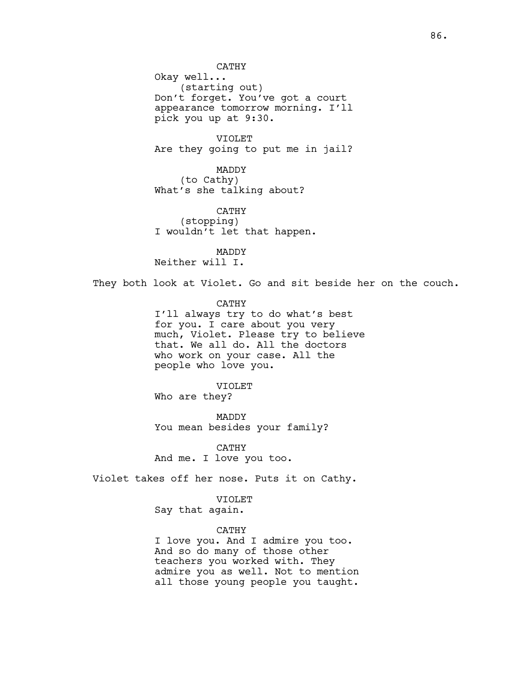CATHY Okay well... (starting out) Don't forget. You've got a court appearance tomorrow morning. I'll pick you up at 9:30.

VIOLET Are they going to put me in jail?

MADDY (to Cathy) What's she talking about?

CATHY (stopping) I wouldn't let that happen.

MADDY Neither will I.

They both look at Violet. Go and sit beside her on the couch.

CATHY I'll always try to do what's best for you. I care about you very much, Violet. Please try to believe that. We all do. All the doctors who work on your case. All the people who love you.

VIOLET Who are they?

MADDY You mean besides your family?

CATHY And me. I love you too.

Violet takes off her nose. Puts it on Cathy.

VIOLET

Say that again.

CATHY

I love you. And I admire you too. And so do many of those other teachers you worked with. They admire you as well. Not to mention all those young people you taught.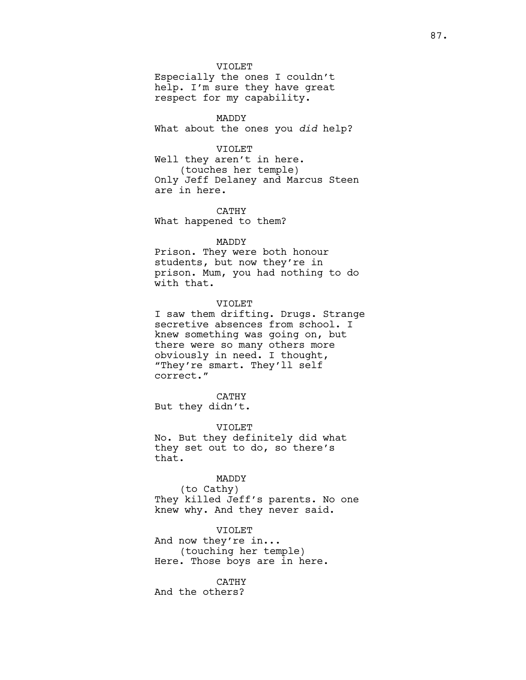### VIOLET

Especially the ones I couldn't help. I'm sure they have great respect for my capability.

MADDY What about the ones you did help?

#### VIOLET

Well they aren't in here. (touches her temple) Only Jeff Delaney and Marcus Steen are in here.

CATHY What happened to them?

### MADDY

Prison. They were both honour students, but now they're in prison. Mum, you had nothing to do with that.

## VIOLET

I saw them drifting. Drugs. Strange secretive absences from school. I knew something was going on, but there were so many others more obviously in need. I thought, "They're smart. They'll self correct."

CATHY But they didn't.

VIOLET

No. But they definitely did what they set out to do, so there's that.

## MADDY

(to Cathy) They killed Jeff's parents. No one knew why. And they never said.

## VIOLET

And now they're in... (touching her temple) Here. Those boys are in here.

## CATHY

And the others?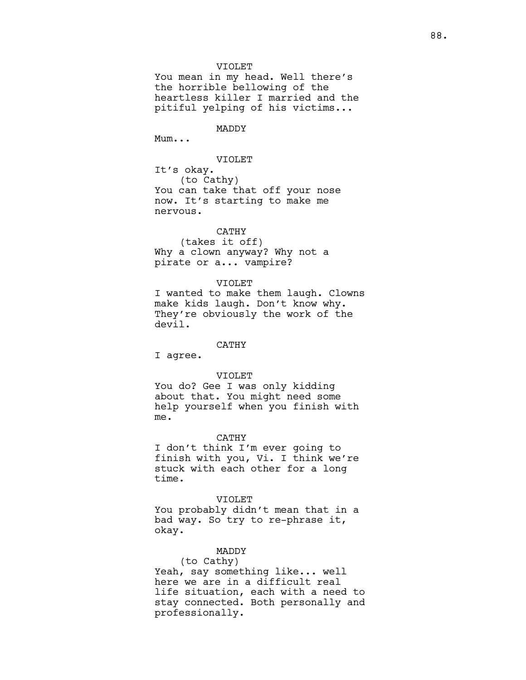### VIOLET

You mean in my head. Well there's the horrible bellowing of the heartless killer I married and the pitiful yelping of his victims...

MADDY

Mum...

### VIOLET

It's okay. (to Cathy) You can take that off your nose now. It's starting to make me nervous.

## CATHY

(takes it off) Why a clown anyway? Why not a pirate or a... vampire?

### VIOLET

I wanted to make them laugh. Clowns make kids laugh. Don't know why. They're obviously the work of the devil.

## CATHY

I agree.

### VIOLET

You do? Gee I was only kidding about that. You might need some help yourself when you finish with me.

#### CATHY

I don't think I'm ever going to finish with you, Vi. I think we're stuck with each other for a long time.

VIOLET You probably didn't mean that in a bad way. So try to re-phrase it, okay.

## MADDY

(to Cathy) Yeah, say something like... well here we are in a difficult real life situation, each with a need to stay connected. Both personally and professionally.